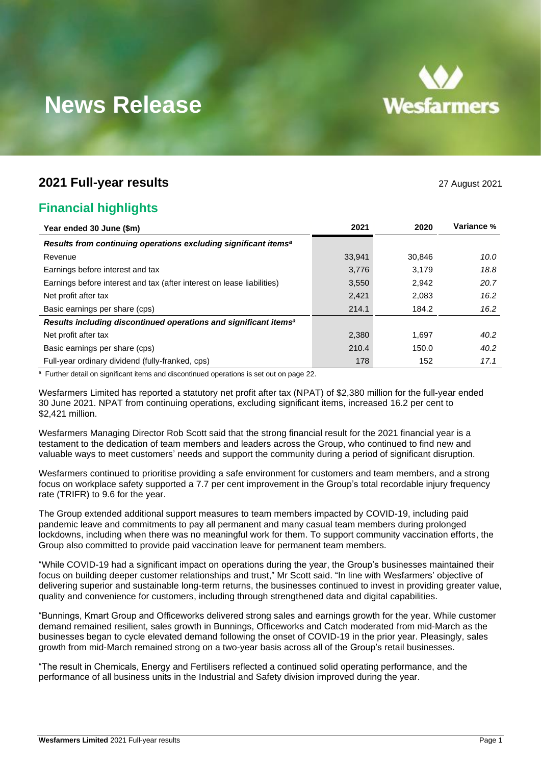

# **News Release**

### **2021 Full-year results** 27 August 2021

### **Financial highlights**

| Year ended 30 June (\$m)                                                     | 2021   | 2020   | Variance % |
|------------------------------------------------------------------------------|--------|--------|------------|
| Results from continuing operations excluding significant items <sup>a</sup>  |        |        |            |
| Revenue                                                                      | 33,941 | 30.846 | 10.0       |
| Earnings before interest and tax                                             | 3,776  | 3.179  | 18.8       |
| Earnings before interest and tax (after interest on lease liabilities)       | 3,550  | 2,942  | 20.7       |
| Net profit after tax                                                         | 2,421  | 2,083  | 16.2       |
| Basic earnings per share (cps)                                               | 214.1  | 184.2  | 16.2       |
| Results including discontinued operations and significant items <sup>a</sup> |        |        |            |
| Net profit after tax                                                         | 2,380  | 1.697  | 40.2       |
| Basic earnings per share (cps)                                               | 210.4  | 150.0  | 40.2       |
| Full-year ordinary dividend (fully-franked, cps)                             | 178    | 152    | 17.1       |

<sup>a</sup> Further detail on significant items and discontinued operations is set out on page 22.

Wesfarmers Limited has reported a statutory net profit after tax (NPAT) of \$2,380 million for the full-year ended 30 June 2021. NPAT from continuing operations, excluding significant items, increased 16.2 per cent to \$2,421 million.

Wesfarmers Managing Director Rob Scott said that the strong financial result for the 2021 financial year is a testament to the dedication of team members and leaders across the Group, who continued to find new and valuable ways to meet customers' needs and support the community during a period of significant disruption.

Wesfarmers continued to prioritise providing a safe environment for customers and team members, and a strong focus on workplace safety supported a 7.7 per cent improvement in the Group's total recordable injury frequency rate (TRIFR) to 9.6 for the year.

The Group extended additional support measures to team members impacted by COVID-19, including paid pandemic leave and commitments to pay all permanent and many casual team members during prolonged lockdowns, including when there was no meaningful work for them. To support community vaccination efforts, the Group also committed to provide paid vaccination leave for permanent team members.

"While COVID-19 had a significant impact on operations during the year, the Group's businesses maintained their focus on building deeper customer relationships and trust," Mr Scott said. "In line with Wesfarmers' objective of delivering superior and sustainable long-term returns, the businesses continued to invest in providing greater value, quality and convenience for customers, including through strengthened data and digital capabilities.

"Bunnings, Kmart Group and Officeworks delivered strong sales and earnings growth for the year. While customer demand remained resilient, sales growth in Bunnings, Officeworks and Catch moderated from mid-March as the businesses began to cycle elevated demand following the onset of COVID-19 in the prior year. Pleasingly, sales growth from mid-March remained strong on a two-year basis across all of the Group's retail businesses.

"The result in Chemicals, Energy and Fertilisers reflected a continued solid operating performance, and the performance of all business units in the Industrial and Safety division improved during the year.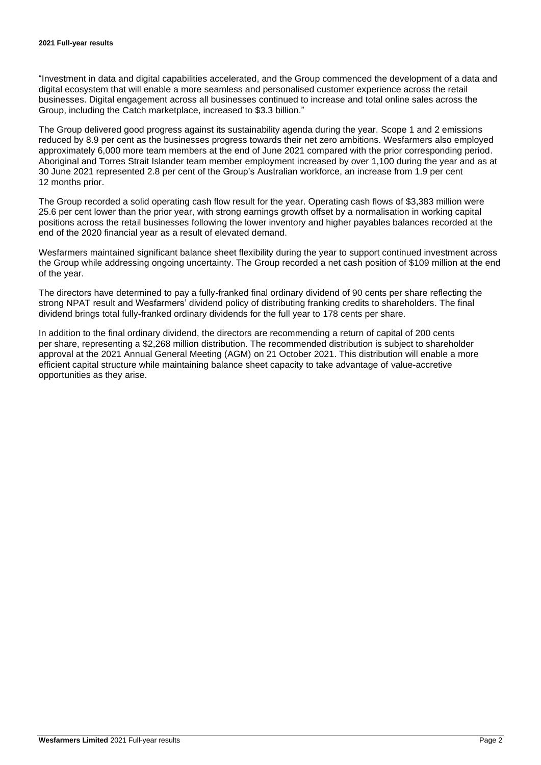"Investment in data and digital capabilities accelerated, and the Group commenced the development of a data and digital ecosystem that will enable a more seamless and personalised customer experience across the retail businesses. Digital engagement across all businesses continued to increase and total online sales across the Group, including the Catch marketplace, increased to \$3.3 billion."

The Group delivered good progress against its sustainability agenda during the year. Scope 1 and 2 emissions reduced by 8.9 per cent as the businesses progress towards their net zero ambitions. Wesfarmers also employed approximately 6,000 more team members at the end of June 2021 compared with the prior corresponding period. Aboriginal and Torres Strait Islander team member employment increased by over 1,100 during the year and as at 30 June 2021 represented 2.8 per cent of the Group's Australian workforce, an increase from 1.9 per cent 12 months prior.

The Group recorded a solid operating cash flow result for the year. Operating cash flows of \$3,383 million were 25.6 per cent lower than the prior year, with strong earnings growth offset by a normalisation in working capital positions across the retail businesses following the lower inventory and higher payables balances recorded at the end of the 2020 financial year as a result of elevated demand.

Wesfarmers maintained significant balance sheet flexibility during the year to support continued investment across the Group while addressing ongoing uncertainty. The Group recorded a net cash position of \$109 million at the end of the year.

The directors have determined to pay a fully-franked final ordinary dividend of 90 cents per share reflecting the strong NPAT result and Wesfarmers' dividend policy of distributing franking credits to shareholders. The final dividend brings total fully-franked ordinary dividends for the full year to 178 cents per share.

In addition to the final ordinary dividend, the directors are recommending a return of capital of 200 cents per share, representing a \$2,268 million distribution. The recommended distribution is subject to shareholder approval at the 2021 Annual General Meeting (AGM) on 21 October 2021. This distribution will enable a more efficient capital structure while maintaining balance sheet capacity to take advantage of value-accretive opportunities as they arise.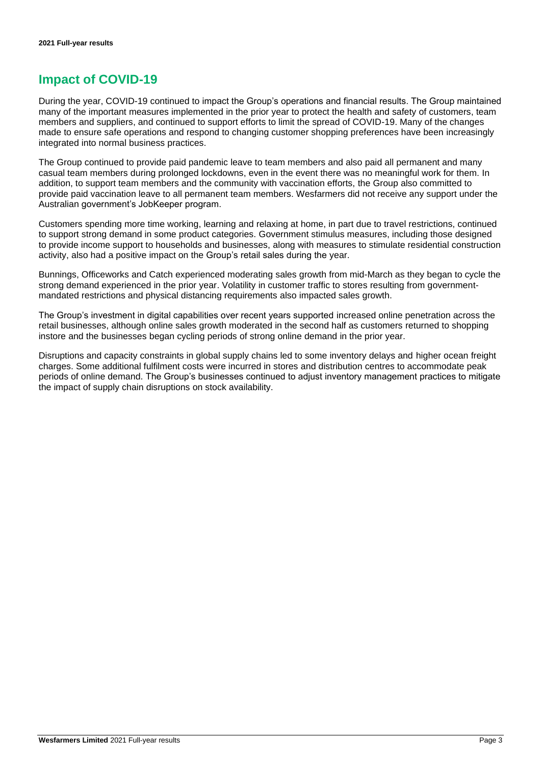### **Impact of COVID-19**

During the year, COVID-19 continued to impact the Group's operations and financial results. The Group maintained many of the important measures implemented in the prior year to protect the health and safety of customers, team members and suppliers, and continued to support efforts to limit the spread of COVID-19. Many of the changes made to ensure safe operations and respond to changing customer shopping preferences have been increasingly integrated into normal business practices.

The Group continued to provide paid pandemic leave to team members and also paid all permanent and many casual team members during prolonged lockdowns, even in the event there was no meaningful work for them. In addition, to support team members and the community with vaccination efforts, the Group also committed to provide paid vaccination leave to all permanent team members. Wesfarmers did not receive any support under the Australian government's JobKeeper program.

Customers spending more time working, learning and relaxing at home, in part due to travel restrictions, continued to support strong demand in some product categories. Government stimulus measures, including those designed to provide income support to households and businesses, along with measures to stimulate residential construction activity, also had a positive impact on the Group's retail sales during the year.

Bunnings, Officeworks and Catch experienced moderating sales growth from mid-March as they began to cycle the strong demand experienced in the prior year. Volatility in customer traffic to stores resulting from governmentmandated restrictions and physical distancing requirements also impacted sales growth.

The Group's investment in digital capabilities over recent years supported increased online penetration across the retail businesses, although online sales growth moderated in the second half as customers returned to shopping instore and the businesses began cycling periods of strong online demand in the prior year.

Disruptions and capacity constraints in global supply chains led to some inventory delays and higher ocean freight charges. Some additional fulfilment costs were incurred in stores and distribution centres to accommodate peak periods of online demand. The Group's businesses continued to adjust inventory management practices to mitigate the impact of supply chain disruptions on stock availability.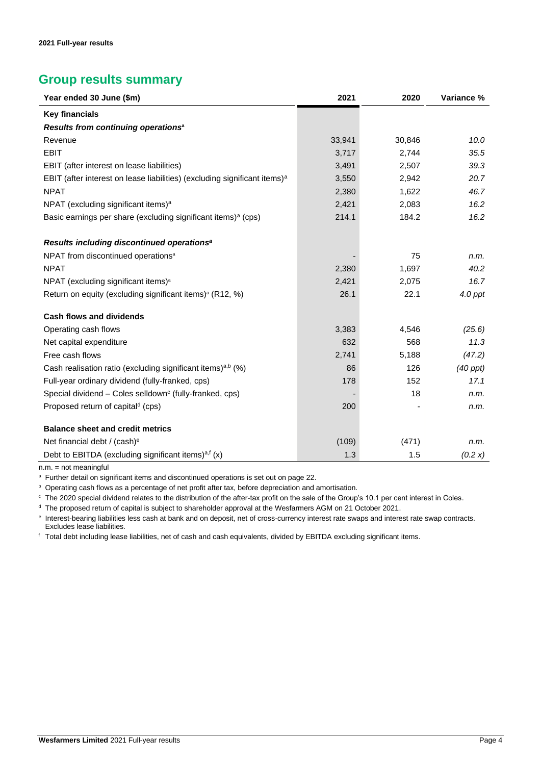### **Group results summary**

| Year ended 30 June (\$m)                                                              | 2021   | 2020   | Variance %    |
|---------------------------------------------------------------------------------------|--------|--------|---------------|
| <b>Key financials</b>                                                                 |        |        |               |
| Results from continuing operations <sup>a</sup>                                       |        |        |               |
| Revenue                                                                               | 33,941 | 30,846 | 10.0          |
| <b>EBIT</b>                                                                           | 3,717  | 2,744  | 35.5          |
| EBIT (after interest on lease liabilities)                                            | 3,491  | 2,507  | 39.3          |
| EBIT (after interest on lease liabilities) (excluding significant items) <sup>a</sup> | 3,550  | 2,942  | 20.7          |
| <b>NPAT</b>                                                                           | 2,380  | 1,622  | 46.7          |
| NPAT (excluding significant items) <sup>a</sup>                                       | 2,421  | 2,083  | 16.2          |
| Basic earnings per share (excluding significant items) <sup>a</sup> (cps)             | 214.1  | 184.2  | 16.2          |
| Results including discontinued operations <sup>a</sup>                                |        |        |               |
| NPAT from discontinued operations <sup>a</sup>                                        |        | 75     | n.m.          |
| <b>NPAT</b>                                                                           | 2,380  | 1,697  | 40.2          |
| NPAT (excluding significant items) <sup>a</sup>                                       | 2,421  | 2,075  | 16.7          |
| Return on equity (excluding significant items) <sup>a</sup> (R12, %)                  | 26.1   | 22.1   | $4.0$ ppt     |
| <b>Cash flows and dividends</b>                                                       |        |        |               |
| Operating cash flows                                                                  | 3,383  | 4,546  | (25.6)        |
| Net capital expenditure                                                               | 632    | 568    | 11.3          |
| Free cash flows                                                                       | 2,741  | 5,188  | (47.2)        |
| Cash realisation ratio (excluding significant items) <sup>a,b</sup> (%)               | 86     | 126    | $(40$ ppt $)$ |
| Full-year ordinary dividend (fully-franked, cps)                                      | 178    | 152    | 17.1          |
| Special dividend - Coles selldown <sup>c</sup> (fully-franked, cps)                   |        | 18     | n.m.          |
| Proposed return of capital <sup>d</sup> (cps)                                         | 200    |        | n.m.          |
| <b>Balance sheet and credit metrics</b>                                               |        |        |               |
| Net financial debt / (cash) <sup>e</sup>                                              | (109)  | (471)  | n.m.          |
| Debt to EBITDA (excluding significant items) <sup>a,f</sup> (x)                       | 1.3    | 1.5    | (0.2 x)       |

n.m. = not meaningful

<sup>a</sup> Further detail on significant items and discontinued operations is set out on page 22.

**b** Operating cash flows as a percentage of net profit after tax, before depreciation and amortisation.

<sup>c</sup> The 2020 special dividend relates to the distribution of the after-tax profit on the sale of the Group's 10.1 per cent interest in Coles.

<sup>d</sup> The proposed return of capital is subject to shareholder approval at the Wesfarmers AGM on 21 October 2021.

e Interest-bearing liabilities less cash at bank and on deposit, net of cross-currency interest rate swaps and interest rate swap contracts. Excludes lease liabilities.

<sup>f</sup> Total debt including lease liabilities, net of cash and cash equivalents, divided by EBITDA excluding significant items.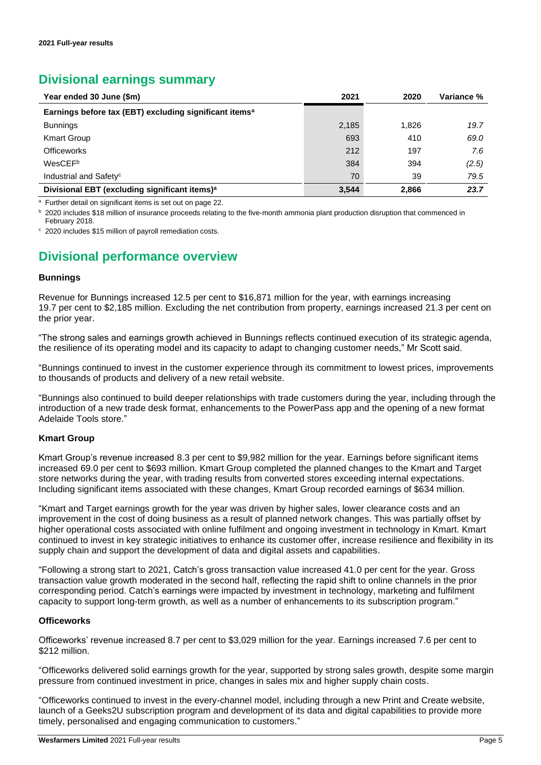### **Divisional earnings summary**

| Year ended 30 June (\$m)                                           | 2021  | 2020  | Variance % |
|--------------------------------------------------------------------|-------|-------|------------|
| Earnings before tax (EBT) excluding significant items <sup>a</sup> |       |       |            |
| <b>Bunnings</b>                                                    | 2,185 | 1.826 | 19.7       |
| <b>Kmart Group</b>                                                 | 693   | 410   | 69.0       |
| <b>Officeworks</b>                                                 | 212   | 197   | 7.6        |
| WesCEFb                                                            | 384   | 394   | (2.5)      |
| Industrial and Safety <sup>c</sup>                                 | 70    | 39    | 79.5       |
| Divisional EBT (excluding significant items) <sup>a</sup>          | 3,544 | 2,866 | 23.7       |

<sup>a</sup> Further detail on significant items is set out on page 22.

b 2020 includes \$18 million of insurance proceeds relating to the five-month ammonia plant production disruption that commenced in February 2018.

<sup>c</sup> 2020 includes \$15 million of payroll remediation costs.

### **Divisional performance overview**

#### **Bunnings**

Revenue for Bunnings increased 12.5 per cent to \$16,871 million for the year, with earnings increasing 19.7 per cent to \$2,185 million. Excluding the net contribution from property, earnings increased 21.3 per cent on the prior year.

"The strong sales and earnings growth achieved in Bunnings reflects continued execution of its strategic agenda, the resilience of its operating model and its capacity to adapt to changing customer needs," Mr Scott said.

"Bunnings continued to invest in the customer experience through its commitment to lowest prices, improvements to thousands of products and delivery of a new retail website.

"Bunnings also continued to build deeper relationships with trade customers during the year, including through the introduction of a new trade desk format, enhancements to the PowerPass app and the opening of a new format Adelaide Tools store."

#### **Kmart Group**

Kmart Group's revenue increased 8.3 per cent to \$9,982 million for the year. Earnings before significant items increased 69.0 per cent to \$693 million. Kmart Group completed the planned changes to the Kmart and Target store networks during the year, with trading results from converted stores exceeding internal expectations. Including significant items associated with these changes, Kmart Group recorded earnings of \$634 million.

"Kmart and Target earnings growth for the year was driven by higher sales, lower clearance costs and an improvement in the cost of doing business as a result of planned network changes. This was partially offset by higher operational costs associated with online fulfilment and ongoing investment in technology in Kmart. Kmart continued to invest in key strategic initiatives to enhance its customer offer, increase resilience and flexibility in its supply chain and support the development of data and digital assets and capabilities.

"Following a strong start to 2021, Catch's gross transaction value increased 41.0 per cent for the year. Gross transaction value growth moderated in the second half, reflecting the rapid shift to online channels in the prior corresponding period. Catch's earnings were impacted by investment in technology, marketing and fulfilment capacity to support long-term growth, as well as a number of enhancements to its subscription program."

#### **Officeworks**

Officeworks' revenue increased 8.7 per cent to \$3,029 million for the year. Earnings increased 7.6 per cent to \$212 million.

"Officeworks delivered solid earnings growth for the year, supported by strong sales growth, despite some margin pressure from continued investment in price, changes in sales mix and higher supply chain costs.

"Officeworks continued to invest in the every-channel model, including through a new Print and Create website, launch of a Geeks2U subscription program and development of its data and digital capabilities to provide more timely, personalised and engaging communication to customers."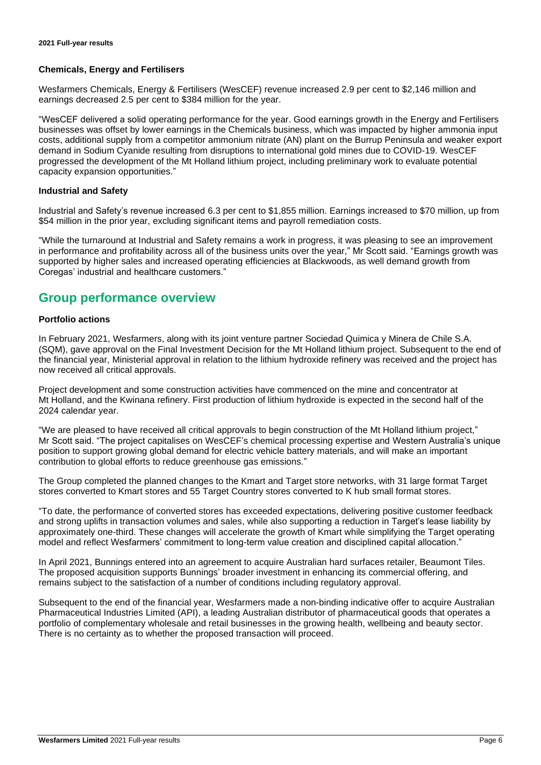#### **Chemicals, Energy and Fertilisers**

Wesfarmers Chemicals, Energy & Fertilisers (WesCEF) revenue increased 2.9 per cent to \$2,146 million and earnings decreased 2.5 per cent to \$384 million for the year.

"WesCEF delivered a solid operating performance for the year. Good earnings growth in the Energy and Fertilisers businesses was offset by lower earnings in the Chemicals business, which was impacted by higher ammonia input costs, additional supply from a competitor ammonium nitrate (AN) plant on the Burrup Peninsula and weaker export demand in Sodium Cyanide resulting from disruptions to international gold mines due to COVID-19. WesCEF progressed the development of the Mt Holland lithium project, including preliminary work to evaluate potential capacity expansion opportunities."

#### **Industrial and Safety**

Industrial and Safety's revenue increased 6.3 per cent to \$1,855 million. Earnings increased to \$70 million, up from \$54 million in the prior year, excluding significant items and payroll remediation costs.

"While the turnaround at Industrial and Safety remains a work in progress, it was pleasing to see an improvement in performance and profitability across all of the business units over the year," Mr Scott said. "Earnings growth was supported by higher sales and increased operating efficiencies at Blackwoods, as well demand growth from Coregas' industrial and healthcare customers."

### **Group performance overview**

#### **Portfolio actions**

In February 2021, Wesfarmers, along with its joint venture partner Sociedad Quimica y Minera de Chile S.A. (SQM), gave approval on the Final Investment Decision for the Mt Holland lithium project. Subsequent to the end of the financial year, Ministerial approval in relation to the lithium hydroxide refinery was received and the project has now received all critical approvals.

Project development and some construction activities have commenced on the mine and concentrator at Mt Holland, and the Kwinana refinery. First production of lithium hydroxide is expected in the second half of the 2024 calendar year.

"We are pleased to have received all critical approvals to begin construction of the Mt Holland lithium project," Mr Scott said. "The project capitalises on WesCEF's chemical processing expertise and Western Australia's unique position to support growing global demand for electric vehicle battery materials, and will make an important contribution to global efforts to reduce greenhouse gas emissions."

The Group completed the planned changes to the Kmart and Target store networks, with 31 large format Target stores converted to Kmart stores and 55 Target Country stores converted to K hub small format stores.

"To date, the performance of converted stores has exceeded expectations, delivering positive customer feedback and strong uplifts in transaction volumes and sales, while also supporting a reduction in Target's lease liability by approximately one-third. These changes will accelerate the growth of Kmart while simplifying the Target operating model and reflect Wesfarmers' commitment to long-term value creation and disciplined capital allocation."

In April 2021, Bunnings entered into an agreement to acquire Australian hard surfaces retailer, Beaumont Tiles. The proposed acquisition supports Bunnings' broader investment in enhancing its commercial offering, and remains subject to the satisfaction of a number of conditions including regulatory approval.

Subsequent to the end of the financial year, Wesfarmers made a non-binding indicative offer to acquire Australian Pharmaceutical Industries Limited (API), a leading Australian distributor of pharmaceutical goods that operates a portfolio of complementary wholesale and retail businesses in the growing health, wellbeing and beauty sector. There is no certainty as to whether the proposed transaction will proceed.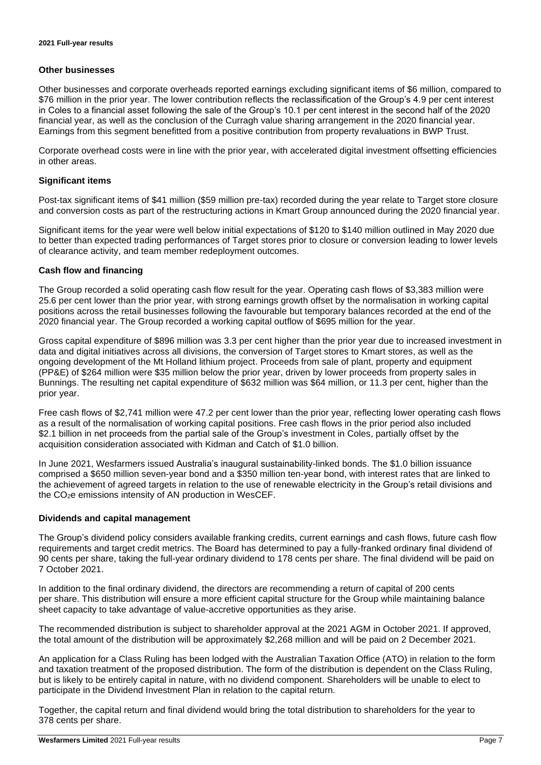#### **Other businesses**

Other businesses and corporate overheads reported earnings excluding significant items of \$6 million, compared to \$76 million in the prior year. The lower contribution reflects the reclassification of the Group's 4.9 per cent interest in Coles to a financial asset following the sale of the Group's 10.1 per cent interest in the second half of the 2020 financial year, as well as the conclusion of the Curragh value sharing arrangement in the 2020 financial year. Earnings from this segment benefitted from a positive contribution from property revaluations in BWP Trust.

Corporate overhead costs were in line with the prior year, with accelerated digital investment offsetting efficiencies in other areas.

#### **Significant items**

Post-tax significant items of \$41 million (\$59 million pre-tax) recorded during the year relate to Target store closure and conversion costs as part of the restructuring actions in Kmart Group announced during the 2020 financial year.

Significant items for the year were well below initial expectations of \$120 to \$140 million outlined in May 2020 due to better than expected trading performances of Target stores prior to closure or conversion leading to lower levels of clearance activity, and team member redeployment outcomes.

#### **Cash flow and financing**

The Group recorded a solid operating cash flow result for the year. Operating cash flows of \$3,383 million were 25.6 per cent lower than the prior year, with strong earnings growth offset by the normalisation in working capital positions across the retail businesses following the favourable but temporary balances recorded at the end of the 2020 financial year. The Group recorded a working capital outflow of \$695 million for the year.

Gross capital expenditure of \$896 million was 3.3 per cent higher than the prior year due to increased investment in data and digital initiatives across all divisions, the conversion of Target stores to Kmart stores, as well as the ongoing development of the Mt Holland lithium project. Proceeds from sale of plant, property and equipment (PP&E) of \$264 million were \$35 million below the prior year, driven by lower proceeds from property sales in Bunnings. The resulting net capital expenditure of \$632 million was \$64 million, or 11.3 per cent, higher than the prior year.

Free cash flows of \$2,741 million were 47.2 per cent lower than the prior year, reflecting lower operating cash flows as a result of the normalisation of working capital positions. Free cash flows in the prior period also included \$2.1 billion in net proceeds from the partial sale of the Group's investment in Coles, partially offset by the acquisition consideration associated with Kidman and Catch of \$1.0 billion.

In June 2021, Wesfarmers issued Australia's inaugural sustainability-linked bonds. The \$1.0 billion issuance comprised a \$650 million seven-year bond and a \$350 million ten-year bond, with interest rates that are linked to the achievement of agreed targets in relation to the use of renewable electricity in the Group's retail divisions and the CO2e emissions intensity of AN production in WesCEF.

#### **Dividends and capital management**

The Group's dividend policy considers available franking credits, current earnings and cash flows, future cash flow requirements and target credit metrics. The Board has determined to pay a fully-franked ordinary final dividend of 90 cents per share, taking the full-year ordinary dividend to 178 cents per share. The final dividend will be paid on 7 October 2021.

In addition to the final ordinary dividend, the directors are recommending a return of capital of 200 cents per share. This distribution will ensure a more efficient capital structure for the Group while maintaining balance sheet capacity to take advantage of value-accretive opportunities as they arise.

The recommended distribution is subject to shareholder approval at the 2021 AGM in October 2021. If approved, the total amount of the distribution will be approximately \$2,268 million and will be paid on 2 December 2021.

An application for a Class Ruling has been lodged with the Australian Taxation Office (ATO) in relation to the form and taxation treatment of the proposed distribution. The form of the distribution is dependent on the Class Ruling, but is likely to be entirely capital in nature, with no dividend component. Shareholders will be unable to elect to participate in the Dividend Investment Plan in relation to the capital return.

Together, the capital return and final dividend would bring the total distribution to shareholders for the year to 378 cents per share.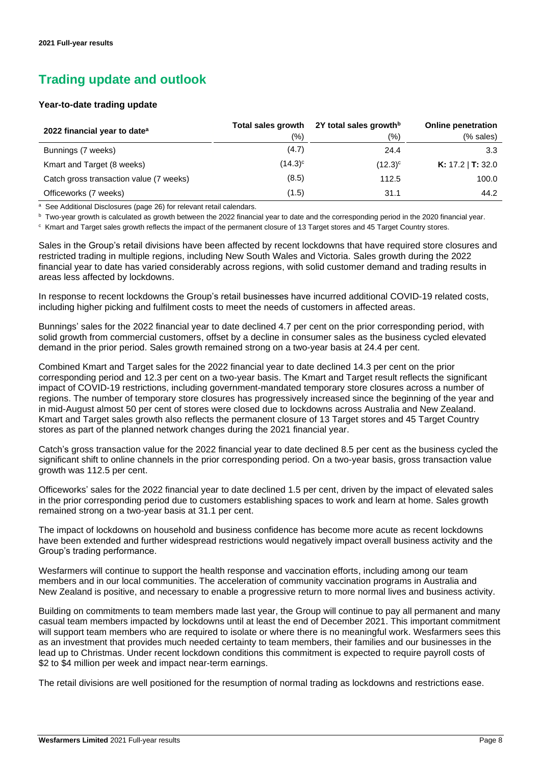## **Trading update and outlook**

#### **Year-to-date trading update**

| 2022 financial year to date <sup>a</sup> | Total sales growth<br>(%) | 2Y total sales growth <sup>b</sup><br>(%) | <b>Online penetration</b><br>(% sales) |
|------------------------------------------|---------------------------|-------------------------------------------|----------------------------------------|
| Bunnings (7 weeks)                       | (4.7)                     | 24.4                                      | 3.3                                    |
| Kmart and Target (8 weeks)               | $(14.3)^c$                | $(12.3)^c$                                | <b>K:</b> 17.2   <b>T:</b> 32.0        |
| Catch gross transaction value (7 weeks)  | (8.5)                     | 112.5                                     | 100.0                                  |
| Officeworks (7 weeks)                    | (1.5)                     | 31.1                                      | 44.2                                   |

<sup>a</sup> See Additional Disclosures (page 26) for relevant retail calendars.

b Two-year growth is calculated as growth between the 2022 financial year to date and the corresponding period in the 2020 financial year.

c Kmart and Target sales growth reflects the impact of the permanent closure of 13 Target stores and 45 Target Country stores.

Sales in the Group's retail divisions have been affected by recent lockdowns that have required store closures and restricted trading in multiple regions, including New South Wales and Victoria. Sales growth during the 2022 financial year to date has varied considerably across regions, with solid customer demand and trading results in areas less affected by lockdowns.

In response to recent lockdowns the Group's retail businesses have incurred additional COVID-19 related costs, including higher picking and fulfilment costs to meet the needs of customers in affected areas.

Bunnings' sales for the 2022 financial year to date declined 4.7 per cent on the prior corresponding period, with solid growth from commercial customers, offset by a decline in consumer sales as the business cycled elevated demand in the prior period. Sales growth remained strong on a two-year basis at 24.4 per cent.

Combined Kmart and Target sales for the 2022 financial year to date declined 14.3 per cent on the prior corresponding period and 12.3 per cent on a two-year basis. The Kmart and Target result reflects the significant impact of COVID-19 restrictions, including government-mandated temporary store closures across a number of regions. The number of temporary store closures has progressively increased since the beginning of the year and in mid-August almost 50 per cent of stores were closed due to lockdowns across Australia and New Zealand. Kmart and Target sales growth also reflects the permanent closure of 13 Target stores and 45 Target Country stores as part of the planned network changes during the 2021 financial year.

Catch's gross transaction value for the 2022 financial year to date declined 8.5 per cent as the business cycled the significant shift to online channels in the prior corresponding period. On a two-year basis, gross transaction value growth was 112.5 per cent.

Officeworks' sales for the 2022 financial year to date declined 1.5 per cent, driven by the impact of elevated sales in the prior corresponding period due to customers establishing spaces to work and learn at home. Sales growth remained strong on a two-year basis at 31.1 per cent.

The impact of lockdowns on household and business confidence has become more acute as recent lockdowns have been extended and further widespread restrictions would negatively impact overall business activity and the Group's trading performance.

Wesfarmers will continue to support the health response and vaccination efforts, including among our team members and in our local communities. The acceleration of community vaccination programs in Australia and New Zealand is positive, and necessary to enable a progressive return to more normal lives and business activity.

Building on commitments to team members made last year, the Group will continue to pay all permanent and many casual team members impacted by lockdowns until at least the end of December 2021. This important commitment will support team members who are required to isolate or where there is no meaningful work. Wesfarmers sees this as an investment that provides much needed certainty to team members, their families and our businesses in the lead up to Christmas. Under recent lockdown conditions this commitment is expected to require payroll costs of \$2 to \$4 million per week and impact near-term earnings.

The retail divisions are well positioned for the resumption of normal trading as lockdowns and restrictions ease.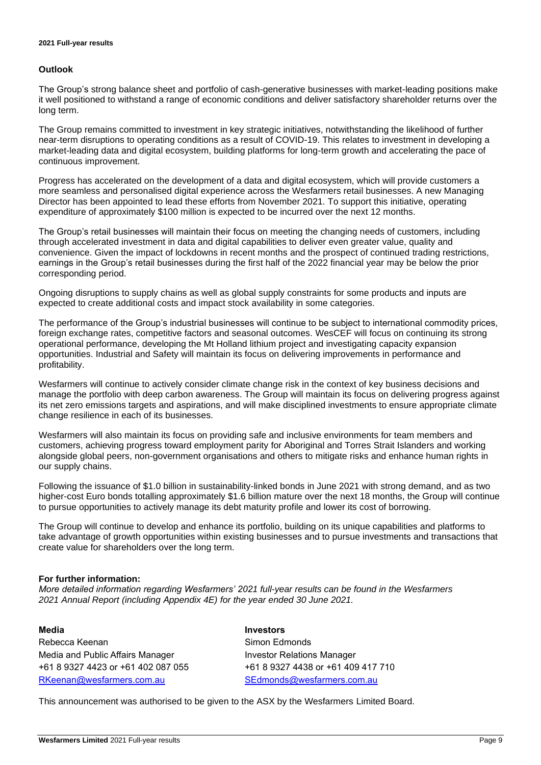#### **Outlook**

The Group's strong balance sheet and portfolio of cash-generative businesses with market-leading positions make it well positioned to withstand a range of economic conditions and deliver satisfactory shareholder returns over the long term.

The Group remains committed to investment in key strategic initiatives, notwithstanding the likelihood of further near-term disruptions to operating conditions as a result of COVID-19. This relates to investment in developing a market-leading data and digital ecosystem, building platforms for long-term growth and accelerating the pace of continuous improvement.

Progress has accelerated on the development of a data and digital ecosystem, which will provide customers a more seamless and personalised digital experience across the Wesfarmers retail businesses. A new Managing Director has been appointed to lead these efforts from November 2021. To support this initiative, operating expenditure of approximately \$100 million is expected to be incurred over the next 12 months.

The Group's retail businesses will maintain their focus on meeting the changing needs of customers, including through accelerated investment in data and digital capabilities to deliver even greater value, quality and convenience. Given the impact of lockdowns in recent months and the prospect of continued trading restrictions, earnings in the Group's retail businesses during the first half of the 2022 financial year may be below the prior corresponding period.

Ongoing disruptions to supply chains as well as global supply constraints for some products and inputs are expected to create additional costs and impact stock availability in some categories.

The performance of the Group's industrial businesses will continue to be subject to international commodity prices, foreign exchange rates, competitive factors and seasonal outcomes. WesCEF will focus on continuing its strong operational performance, developing the Mt Holland lithium project and investigating capacity expansion opportunities. Industrial and Safety will maintain its focus on delivering improvements in performance and profitability.

Wesfarmers will continue to actively consider climate change risk in the context of key business decisions and manage the portfolio with deep carbon awareness. The Group will maintain its focus on delivering progress against its net zero emissions targets and aspirations, and will make disciplined investments to ensure appropriate climate change resilience in each of its businesses.

Wesfarmers will also maintain its focus on providing safe and inclusive environments for team members and customers, achieving progress toward employment parity for Aboriginal and Torres Strait Islanders and working alongside global peers, non-government organisations and others to mitigate risks and enhance human rights in our supply chains.

Following the issuance of \$1.0 billion in sustainability-linked bonds in June 2021 with strong demand, and as two higher-cost Euro bonds totalling approximately \$1.6 billion mature over the next 18 months, the Group will continue to pursue opportunities to actively manage its debt maturity profile and lower its cost of borrowing.

The Group will continue to develop and enhance its portfolio, building on its unique capabilities and platforms to take advantage of growth opportunities within existing businesses and to pursue investments and transactions that create value for shareholders over the long term.

#### **For further information:**

*More detailed information regarding Wesfarmers' 2021 full-year results can be found in the Wesfarmers 2021 Annual Report (including Appendix 4E) for the year ended 30 June 2021.* 

Rebecca Keenan Simon Edmonds Media and Public Affairs Manager **Investor Relations Manager** +61 8 9327 4423 or +61 402 087 055 +61 8 9327 4438 or +61 409 417 710 [RKeenan@wesfarmers.com.au](mailto:RKeenan@wesfarmers.com.au) [SEdmonds@wesfarmers.com.au](mailto:SEdmonds@wesfarmers.com.au)

#### **Media Investors**

This announcement was authorised to be given to the ASX by the Wesfarmers Limited Board.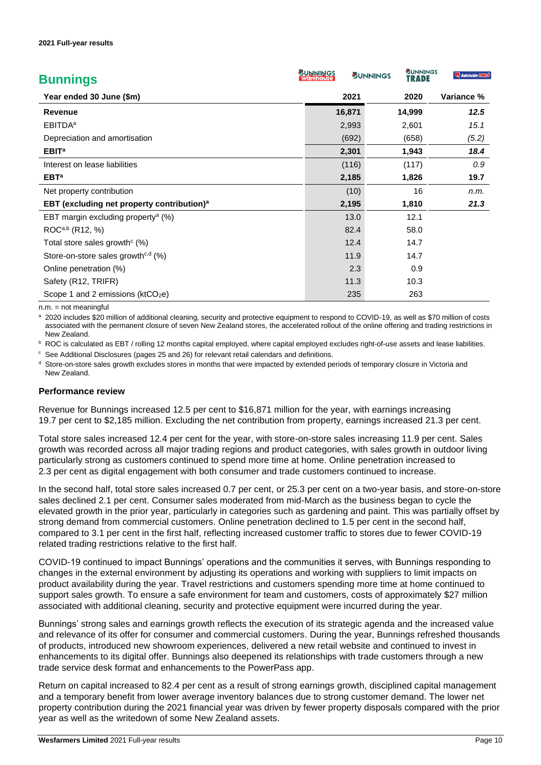| <b>Bunnings</b>                                        | <b>SUNNINGS</b><br>warehouse | <b>BUNNINGS</b> | <b>SUNNINGS</b><br>TRADE | Adelaide TOOLS |
|--------------------------------------------------------|------------------------------|-----------------|--------------------------|----------------|
| Year ended 30 June (\$m)                               |                              | 2021            | 2020                     | Variance %     |
| <b>Revenue</b>                                         |                              | 16,871          | 14,999                   | 12.5           |
| <b>EBITDA</b> <sup>a</sup>                             |                              | 2,993           | 2,601                    | 15.1           |
| Depreciation and amortisation                          |                              | (692)           | (658)                    | (5.2)          |
| EBIT <sup>a</sup>                                      |                              | 2,301           | 1,943                    | 18.4           |
| Interest on lease liabilities                          |                              | (116)           | (117)                    | 0.9            |
| EBT <sup>a</sup>                                       |                              | 2,185           | 1,826                    | 19.7           |
| Net property contribution                              |                              | (10)            | 16                       | n.m.           |
| EBT (excluding net property contribution) <sup>a</sup> |                              | 2,195           | 1,810                    | 21.3           |
| EBT margin excluding property <sup>a</sup> (%)         |                              | 13.0            | 12.1                     |                |
| ROC <sup>a,b</sup> (R12, %)                            |                              | 82.4            | 58.0                     |                |
| Total store sales growth $(\%)$                        |                              | 12.4            | 14.7                     |                |
| Store-on-store sales growth <sup>c,d</sup> $(\%)$      |                              | 11.9            | 14.7                     |                |
| Online penetration (%)                                 |                              | 2.3             | 0.9                      |                |
| Safety (R12, TRIFR)                                    |                              | 11.3            | 10.3                     |                |
| Scope 1 and 2 emissions ( $ktCO2e$ )                   |                              | 235             | 263                      |                |

 $n.m.$  = not meaningful

a 2020 includes \$20 million of additional cleaning, security and protective equipment to respond to COVID-19, as well as \$70 million of costs associated with the permanent closure of seven New Zealand stores, the accelerated rollout of the online offering and trading restrictions in New Zealand.

**b** ROC is calculated as EBT / rolling 12 months capital employed, where capital employed excludes right-of-use assets and lease liabilities.

<sup>c</sup> See Additional Disclosures (pages 25 and 26) for relevant retail calendars and definitions.

<sup>d</sup> Store-on-store sales growth excludes stores in months that were impacted by extended periods of temporary closure in Victoria and New Zealand.

#### **Performance review**

Revenue for Bunnings increased 12.5 per cent to \$16,871 million for the year, with earnings increasing 19.7 per cent to \$2,185 million. Excluding the net contribution from property, earnings increased 21.3 per cent.

Total store sales increased 12.4 per cent for the year, with store-on-store sales increasing 11.9 per cent. Sales growth was recorded across all major trading regions and product categories, with sales growth in outdoor living particularly strong as customers continued to spend more time at home. Online penetration increased to 2.3 per cent as digital engagement with both consumer and trade customers continued to increase.

In the second half, total store sales increased 0.7 per cent, or 25.3 per cent on a two-year basis, and store-on-store sales declined 2.1 per cent. Consumer sales moderated from mid-March as the business began to cycle the elevated growth in the prior year, particularly in categories such as gardening and paint. This was partially offset by strong demand from commercial customers. Online penetration declined to 1.5 per cent in the second half, compared to 3.1 per cent in the first half, reflecting increased customer traffic to stores due to fewer COVID-19 related trading restrictions relative to the first half.

COVID-19 continued to impact Bunnings' operations and the communities it serves, with Bunnings responding to changes in the external environment by adjusting its operations and working with suppliers to limit impacts on product availability during the year. Travel restrictions and customers spending more time at home continued to support sales growth. To ensure a safe environment for team and customers, costs of approximately \$27 million associated with additional cleaning, security and protective equipment were incurred during the year.

Bunnings' strong sales and earnings growth reflects the execution of its strategic agenda and the increased value and relevance of its offer for consumer and commercial customers. During the year, Bunnings refreshed thousands of products, introduced new showroom experiences, delivered a new retail website and continued to invest in enhancements to its digital offer. Bunnings also deepened its relationships with trade customers through a new trade service desk format and enhancements to the PowerPass app.

Return on capital increased to 82.4 per cent as a result of strong earnings growth, disciplined capital management and a temporary benefit from lower average inventory balances due to strong customer demand. The lower net property contribution during the 2021 financial year was driven by fewer property disposals compared with the prior year as well as the writedown of some New Zealand assets.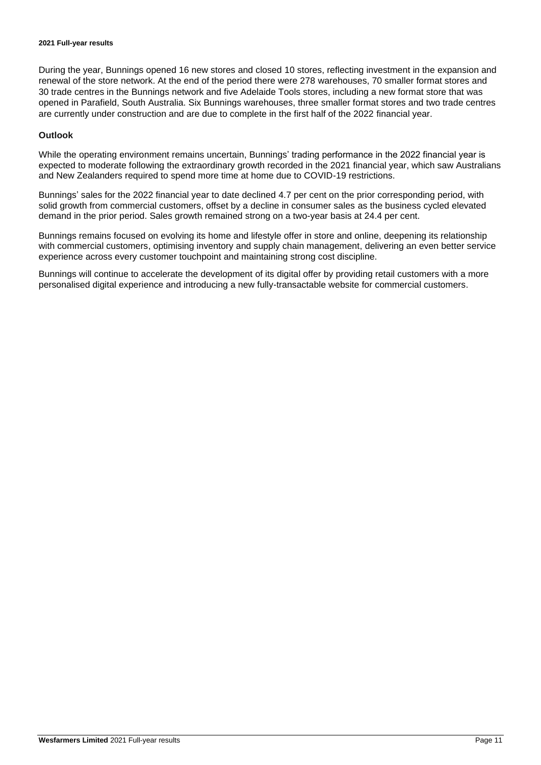During the year, Bunnings opened 16 new stores and closed 10 stores, reflecting investment in the expansion and renewal of the store network. At the end of the period there were 278 warehouses, 70 smaller format stores and 30 trade centres in the Bunnings network and five Adelaide Tools stores, including a new format store that was opened in Parafield, South Australia. Six Bunnings warehouses, three smaller format stores and two trade centres are currently under construction and are due to complete in the first half of the 2022 financial year.

#### **Outlook**

While the operating environment remains uncertain, Bunnings' trading performance in the 2022 financial year is expected to moderate following the extraordinary growth recorded in the 2021 financial year, which saw Australians and New Zealanders required to spend more time at home due to COVID-19 restrictions.

Bunnings' sales for the 2022 financial year to date declined 4.7 per cent on the prior corresponding period, with solid growth from commercial customers, offset by a decline in consumer sales as the business cycled elevated demand in the prior period. Sales growth remained strong on a two-year basis at 24.4 per cent.

Bunnings remains focused on evolving its home and lifestyle offer in store and online, deepening its relationship with commercial customers, optimising inventory and supply chain management, delivering an even better service experience across every customer touchpoint and maintaining strong cost discipline.

Bunnings will continue to accelerate the development of its digital offer by providing retail customers with a more personalised digital experience and introducing a new fully-transactable website for commercial customers.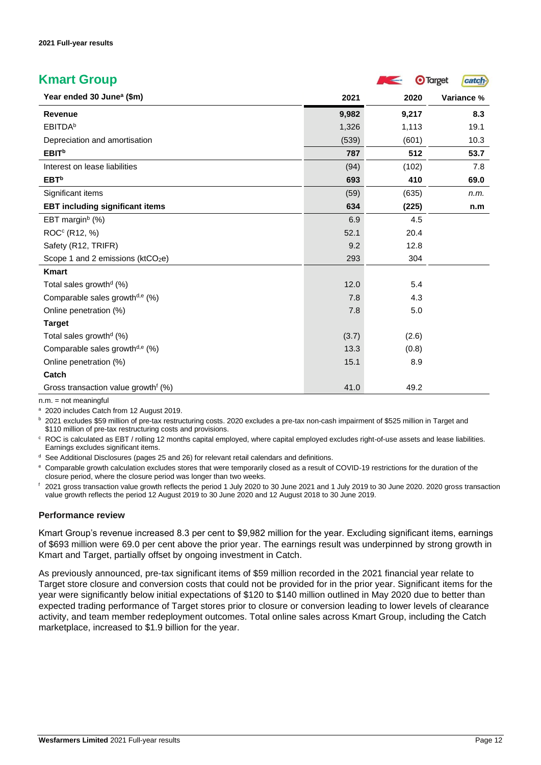| <b>Kmart Group</b>                              |       | <b>College College</b> | <b>O</b> Target<br>catch. |
|-------------------------------------------------|-------|------------------------|---------------------------|
| Year ended 30 June <sup>a</sup> (\$m)           | 2021  | 2020                   | Variance %                |
| <b>Revenue</b>                                  | 9,982 | 9,217                  | 8.3                       |
| <b>EBITDA</b> b                                 | 1,326 | 1,113                  | 19.1                      |
| Depreciation and amortisation                   | (539) | (601)                  | 10.3                      |
| <b>EBIT</b> <sup>b</sup>                        | 787   | 512                    | 53.7                      |
| Interest on lease liabilities                   | (94)  | (102)                  | 7.8                       |
| EBT <sup>b</sup>                                | 693   | 410                    | 69.0                      |
| Significant items                               | (59)  | (635)                  | n.m.                      |
| <b>EBT including significant items</b>          | 634   | (225)                  | n.m                       |
| EBT margin <sup>b</sup> (%)                     | 6.9   | 4.5                    |                           |
| ROC <sup>c</sup> (R12, %)                       | 52.1  | 20.4                   |                           |
| Safety (R12, TRIFR)                             | 9.2   | 12.8                   |                           |
| Scope 1 and 2 emissions (ktCO <sub>2</sub> e)   | 293   | 304                    |                           |
| <b>Kmart</b>                                    |       |                        |                           |
| Total sales growth <sup>d</sup> (%)             | 12.0  | 5.4                    |                           |
| Comparable sales growth <sup>d,e</sup> (%)      | 7.8   | 4.3                    |                           |
| Online penetration (%)                          | 7.8   | 5.0                    |                           |
| <b>Target</b>                                   |       |                        |                           |
| Total sales growth <sup>d</sup> $(\%)$          | (3.7) | (2.6)                  |                           |
| Comparable sales growth <sup>d,e</sup> (%)      | 13.3  | (0.8)                  |                           |
| Online penetration (%)                          | 15.1  | 8.9                    |                           |
| Catch                                           |       |                        |                           |
| Gross transaction value growth <sup>f</sup> (%) | 41.0  | 49.2                   |                           |

n.m. = not meaningful

a 2020 includes Catch from 12 August 2019.

<sup>b</sup> 2021 excludes \$59 million of pre-tax restructuring costs. 2020 excludes a pre-tax non-cash impairment of \$525 million in Target and \$110 million of pre-tax restructuring costs and provisions.

<sup>c</sup> ROC is calculated as EBT / rolling 12 months capital employed, where capital employed excludes right-of-use assets and lease liabilities. Earnings excludes significant items.

<sup>d</sup> See Additional Disclosures (pages 25 and 26) for relevant retail calendars and definitions.

<sup>e</sup> Comparable growth calculation excludes stores that were temporarily closed as a result of COVID-19 restrictions for the duration of the closure period, where the closure period was longer than two weeks.

<sup>f</sup> 2021 gross transaction value growth reflects the period 1 July 2020 to 30 June 2021 and 1 July 2019 to 30 June 2020. 2020 gross transaction value growth reflects the period 12 August 2019 to 30 June 2020 and 12 August 2018 to 30 June 2019.

#### **Performance review**

Kmart Group's revenue increased 8.3 per cent to \$9,982 million for the year. Excluding significant items, earnings of \$693 million were 69.0 per cent above the prior year. The earnings result was underpinned by strong growth in Kmart and Target, partially offset by ongoing investment in Catch.

As previously announced, pre-tax significant items of \$59 million recorded in the 2021 financial year relate to Target store closure and conversion costs that could not be provided for in the prior year. Significant items for the year were significantly below initial expectations of \$120 to \$140 million outlined in May 2020 due to better than expected trading performance of Target stores prior to closure or conversion leading to lower levels of clearance activity, and team member redeployment outcomes. Total online sales across Kmart Group, including the Catch marketplace, increased to \$1.9 billion for the year.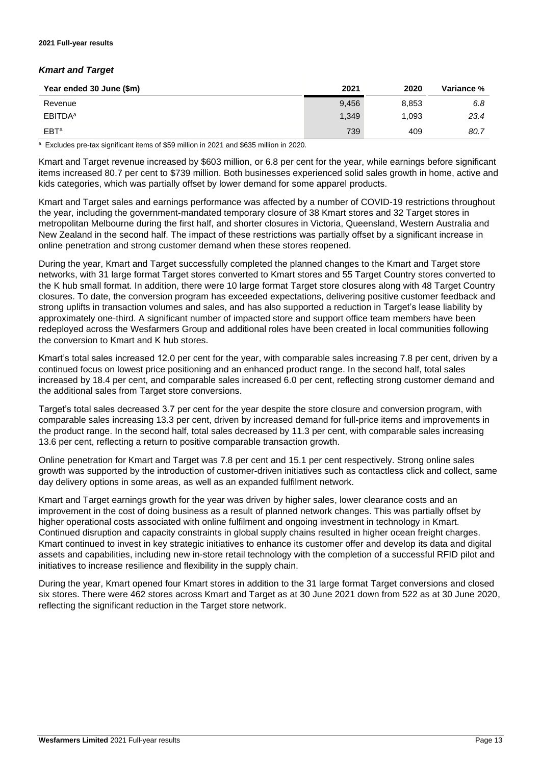#### *Kmart and Target*

| Year ended 30 June (\$m) | 2021  | 2020  | <b>Variance %</b> |
|--------------------------|-------|-------|-------------------|
| Revenue                  | 9,456 | 8,853 | 6.8               |
| EBITDA <sup>a</sup>      | 1,349 | 1,093 | 23.4              |
| EBT <sup>a</sup>         | 739   | 409   | 80.7              |

<sup>a</sup> Excludes pre-tax significant items of \$59 million in 2021 and \$635 million in 2020.

Kmart and Target revenue increased by \$603 million, or 6.8 per cent for the year, while earnings before significant items increased 80.7 per cent to \$739 million. Both businesses experienced solid sales growth in home, active and kids categories, which was partially offset by lower demand for some apparel products.

Kmart and Target sales and earnings performance was affected by a number of COVID-19 restrictions throughout the year, including the government-mandated temporary closure of 38 Kmart stores and 32 Target stores in metropolitan Melbourne during the first half, and shorter closures in Victoria, Queensland, Western Australia and New Zealand in the second half. The impact of these restrictions was partially offset by a significant increase in online penetration and strong customer demand when these stores reopened.

During the year, Kmart and Target successfully completed the planned changes to the Kmart and Target store networks, with 31 large format Target stores converted to Kmart stores and 55 Target Country stores converted to the K hub small format. In addition, there were 10 large format Target store closures along with 48 Target Country closures. To date, the conversion program has exceeded expectations, delivering positive customer feedback and strong uplifts in transaction volumes and sales, and has also supported a reduction in Target's lease liability by approximately one-third. A significant number of impacted store and support office team members have been redeployed across the Wesfarmers Group and additional roles have been created in local communities following the conversion to Kmart and K hub stores.

Kmart's total sales increased 12.0 per cent for the year, with comparable sales increasing 7.8 per cent, driven by a continued focus on lowest price positioning and an enhanced product range. In the second half, total sales increased by 18.4 per cent, and comparable sales increased 6.0 per cent, reflecting strong customer demand and the additional sales from Target store conversions.

Target's total sales decreased 3.7 per cent for the year despite the store closure and conversion program, with comparable sales increasing 13.3 per cent, driven by increased demand for full-price items and improvements in the product range. In the second half, total sales decreased by 11.3 per cent, with comparable sales increasing 13.6 per cent, reflecting a return to positive comparable transaction growth.

Online penetration for Kmart and Target was 7.8 per cent and 15.1 per cent respectively. Strong online sales growth was supported by the introduction of customer-driven initiatives such as contactless click and collect, same day delivery options in some areas, as well as an expanded fulfilment network.

Kmart and Target earnings growth for the year was driven by higher sales, lower clearance costs and an improvement in the cost of doing business as a result of planned network changes. This was partially offset by higher operational costs associated with online fulfilment and ongoing investment in technology in Kmart. Continued disruption and capacity constraints in global supply chains resulted in higher ocean freight charges. Kmart continued to invest in key strategic initiatives to enhance its customer offer and develop its data and digital assets and capabilities, including new in-store retail technology with the completion of a successful RFID pilot and initiatives to increase resilience and flexibility in the supply chain.

During the year, Kmart opened four Kmart stores in addition to the 31 large format Target conversions and closed six stores. There were 462 stores across Kmart and Target as at 30 June 2021 down from 522 as at 30 June 2020, reflecting the significant reduction in the Target store network.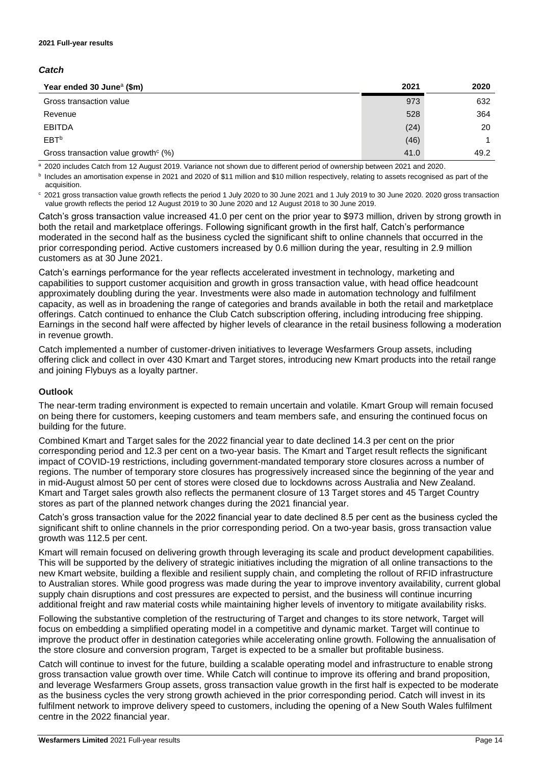#### *Catch*

| Year ended 30 June <sup>a</sup> (\$m)              | 2021 | 2020 |
|----------------------------------------------------|------|------|
| Gross transaction value                            | 973  | 632  |
| Revenue                                            | 528  | 364  |
| <b>EBITDA</b>                                      | (24) | 20   |
| EBT <sup>b</sup>                                   | (46) |      |
| Gross transaction value growth <sup>c</sup> $(\%)$ | 41.0 | 49.2 |

a 2020 includes Catch from 12 August 2019. Variance not shown due to different period of ownership between 2021 and 2020.

**b** Includes an amortisation expense in 2021 and 2020 of \$11 million and \$10 million respectively, relating to assets recognised as part of the acquisition.

<sup>c</sup> 2021 gross transaction value growth reflects the period 1 July 2020 to 30 June 2021 and 1 July 2019 to 30 June 2020. 2020 gross transaction value growth reflects the period 12 August 2019 to 30 June 2020 and 12 August 2018 to 30 June 2019.

Catch's gross transaction value increased 41.0 per cent on the prior year to \$973 million, driven by strong growth in both the retail and marketplace offerings. Following significant growth in the first half, Catch's performance moderated in the second half as the business cycled the significant shift to online channels that occurred in the prior corresponding period. Active customers increased by 0.6 million during the year, resulting in 2.9 million customers as at 30 June 2021.

Catch's earnings performance for the year reflects accelerated investment in technology, marketing and capabilities to support customer acquisition and growth in gross transaction value, with head office headcount approximately doubling during the year. Investments were also made in automation technology and fulfilment capacity, as well as in broadening the range of categories and brands available in both the retail and marketplace offerings. Catch continued to enhance the Club Catch subscription offering, including introducing free shipping. Earnings in the second half were affected by higher levels of clearance in the retail business following a moderation in revenue growth.

Catch implemented a number of customer-driven initiatives to leverage Wesfarmers Group assets, including offering click and collect in over 430 Kmart and Target stores, introducing new Kmart products into the retail range and joining Flybuys as a loyalty partner.

#### **Outlook**

The near-term trading environment is expected to remain uncertain and volatile. Kmart Group will remain focused on being there for customers, keeping customers and team members safe, and ensuring the continued focus on building for the future.

Combined Kmart and Target sales for the 2022 financial year to date declined 14.3 per cent on the prior corresponding period and 12.3 per cent on a two-year basis. The Kmart and Target result reflects the significant impact of COVID-19 restrictions, including government-mandated temporary store closures across a number of regions. The number of temporary store closures has progressively increased since the beginning of the year and in mid-August almost 50 per cent of stores were closed due to lockdowns across Australia and New Zealand. Kmart and Target sales growth also reflects the permanent closure of 13 Target stores and 45 Target Country stores as part of the planned network changes during the 2021 financial year.

Catch's gross transaction value for the 2022 financial year to date declined 8.5 per cent as the business cycled the significant shift to online channels in the prior corresponding period. On a two-year basis, gross transaction value growth was 112.5 per cent.

Kmart will remain focused on delivering growth through leveraging its scale and product development capabilities. This will be supported by the delivery of strategic initiatives including the migration of all online transactions to the new Kmart website, building a flexible and resilient supply chain, and completing the rollout of RFID infrastructure to Australian stores. While good progress was made during the year to improve inventory availability, current global supply chain disruptions and cost pressures are expected to persist, and the business will continue incurring additional freight and raw material costs while maintaining higher levels of inventory to mitigate availability risks.

Following the substantive completion of the restructuring of Target and changes to its store network, Target will focus on embedding a simplified operating model in a competitive and dynamic market. Target will continue to improve the product offer in destination categories while accelerating online growth. Following the annualisation of the store closure and conversion program, Target is expected to be a smaller but profitable business.

Catch will continue to invest for the future, building a scalable operating model and infrastructure to enable strong gross transaction value growth over time. While Catch will continue to improve its offering and brand proposition, and leverage Wesfarmers Group assets, gross transaction value growth in the first half is expected to be moderate as the business cycles the very strong growth achieved in the prior corresponding period. Catch will invest in its fulfilment network to improve delivery speed to customers, including the opening of a New South Wales fulfilment centre in the 2022 financial year.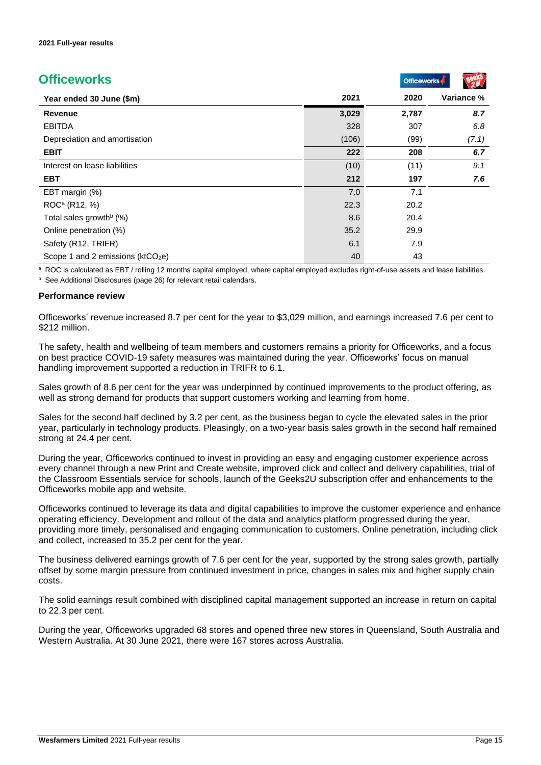| <b>Officeworks</b>                   |       | <b>Officeworks</b> |            |
|--------------------------------------|-------|--------------------|------------|
| Year ended 30 June (\$m)             | 2021  | 2020               | Variance % |
| <b>Revenue</b>                       | 3,029 | 2,787              | 8.7        |
| <b>EBITDA</b>                        | 328   | 307                | 6.8        |
| Depreciation and amortisation        | (106) | (99)               | (7.1)      |
| <b>EBIT</b>                          | 222   | 208                | 6.7        |
| Interest on lease liabilities        | (10)  | (11)               | 9.1        |
| <b>EBT</b>                           | 212   | 197                | 7.6        |
| EBT margin (%)                       | 7.0   | 7.1                |            |
| ROC <sup>a</sup> (R12, %)            | 22.3  | 20.2               |            |
| Total sales growth <sup>b</sup> (%)  | 8.6   | 20.4               |            |
| Online penetration (%)               | 35.2  | 29.9               |            |
| Safety (R12, TRIFR)                  | 6.1   | 7.9                |            |
| Scope 1 and 2 emissions ( $ktCO2e$ ) | 40    | 43                 |            |

a ROC is calculated as EBT / rolling 12 months capital employed, where capital employed excludes right-of-use assets and lease liabilities.

<sup>b</sup> See Additional Disclosures (page 26) for relevant retail calendars.

#### **Performance review**

Officeworks' revenue increased 8.7 per cent for the year to \$3,029 million, and earnings increased 7.6 per cent to \$212 million.

The safety, health and wellbeing of team members and customers remains a priority for Officeworks, and a focus on best practice COVID-19 safety measures was maintained during the year. Officeworks' focus on manual handling improvement supported a reduction in TRIFR to 6.1.

Sales growth of 8.6 per cent for the year was underpinned by continued improvements to the product offering, as well as strong demand for products that support customers working and learning from home.

Sales for the second half declined by 3.2 per cent, as the business began to cycle the elevated sales in the prior year, particularly in technology products. Pleasingly, on a two-year basis sales growth in the second half remained strong at 24.4 per cent.

During the year, Officeworks continued to invest in providing an easy and engaging customer experience across every channel through a new Print and Create website, improved click and collect and delivery capabilities, trial of the Classroom Essentials service for schools, launch of the Geeks2U subscription offer and enhancements to the Officeworks mobile app and website.

Officeworks continued to leverage its data and digital capabilities to improve the customer experience and enhance operating efficiency. Development and rollout of the data and analytics platform progressed during the year, providing more timely, personalised and engaging communication to customers. Online penetration, including click and collect, increased to 35.2 per cent for the year.

The business delivered earnings growth of 7.6 per cent for the year, supported by the strong sales growth, partially offset by some margin pressure from continued investment in price, changes in sales mix and higher supply chain costs.

The solid earnings result combined with disciplined capital management supported an increase in return on capital to 22.3 per cent.

During the year, Officeworks upgraded 68 stores and opened three new stores in Queensland, South Australia and Western Australia. At 30 June 2021, there were 167 stores across Australia.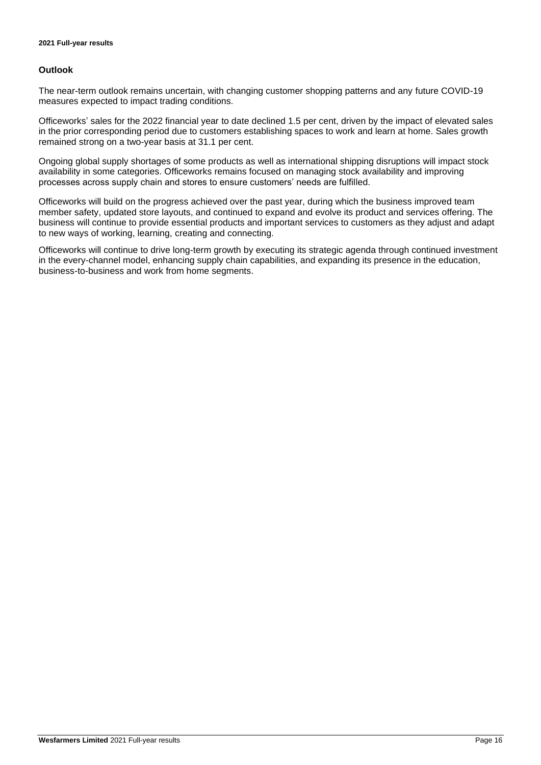#### **Outlook**

The near-term outlook remains uncertain, with changing customer shopping patterns and any future COVID-19 measures expected to impact trading conditions.

Officeworks' sales for the 2022 financial year to date declined 1.5 per cent, driven by the impact of elevated sales in the prior corresponding period due to customers establishing spaces to work and learn at home. Sales growth remained strong on a two-year basis at 31.1 per cent.

Ongoing global supply shortages of some products as well as international shipping disruptions will impact stock availability in some categories. Officeworks remains focused on managing stock availability and improving processes across supply chain and stores to ensure customers' needs are fulfilled.

Officeworks will build on the progress achieved over the past year, during which the business improved team member safety, updated store layouts, and continued to expand and evolve its product and services offering. The business will continue to provide essential products and important services to customers as they adjust and adapt to new ways of working, learning, creating and connecting.

Officeworks will continue to drive long-term growth by executing its strategic agenda through continued investment in the every-channel model, enhancing supply chain capabilities, and expanding its presence in the education, business-to-business and work from home segments.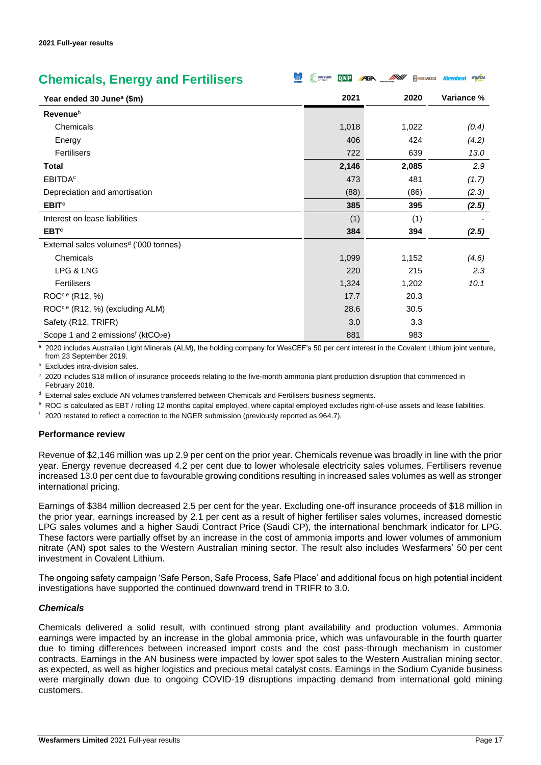| <b>Chemicals, Energy and Fertilisers</b>                  | <b>covalent</b><br>$Q\vert N\vert P$ | <b>AGA MXV</b><br><b>MNODWOOD</b> | <b>EVOL</b><br>Kleenheat |
|-----------------------------------------------------------|--------------------------------------|-----------------------------------|--------------------------|
| Year ended 30 June <sup>a</sup> (\$m)                     | 2021                                 | 2020                              | Variance %               |
| Revenueb                                                  |                                      |                                   |                          |
| Chemicals                                                 | 1,018                                | 1,022                             | (0.4)                    |
| Energy                                                    | 406                                  | 424                               | (4.2)                    |
| <b>Fertilisers</b>                                        | 722                                  | 639                               | 13.0                     |
| Total                                                     | 2,146                                | 2,085                             | 2.9                      |
| <b>EBITDA<sup>c</sup></b>                                 | 473                                  | 481                               | (1.7)                    |
| Depreciation and amortisation                             | (88)                                 | (86)                              | (2.3)                    |
| <b>EBIT<sup>c</sup></b>                                   | 385                                  | 395                               | (2.5)                    |
| Interest on lease liabilities                             | (1)                                  | (1)                               |                          |
| <b>EBT<sup>c</sup></b>                                    | 384                                  | 394                               | (2.5)                    |
| External sales volumes <sup>d</sup> ('000 tonnes)         |                                      |                                   |                          |
| Chemicals                                                 | 1,099                                | 1,152                             | (4.6)                    |
| LPG & LNG                                                 | 220                                  | 215                               | 2.3                      |
| Fertilisers                                               | 1,324                                | 1,202                             | 10.1                     |
| ROC <sup>c,e</sup> (R12, %)                               | 17.7                                 | 20.3                              |                          |
| $\text{ROC}^{\text{c},\text{e}}$ (R12, %) (excluding ALM) | 28.6                                 | 30.5                              |                          |
| Safety (R12, TRIFR)                                       | 3.0                                  | 3.3                               |                          |
| Scope 1 and 2 emissions <sup>f</sup> ( $ktCO2e$ )         | 881                                  | 983                               |                          |

<sup>a</sup> 2020 includes Australian Light Minerals (ALM), the holding company for WesCEF's 50 per cent interest in the Covalent Lithium joint venture, from 23 September 2019.

**b** Excludes intra-division sales.

<sup>c</sup> 2020 includes \$18 million of insurance proceeds relating to the five-month ammonia plant production disruption that commenced in February 2018.

<sup>d</sup> External sales exclude AN volumes transferred between Chemicals and Fertilisers business segments.

<sup>e</sup> ROC is calculated as EBT / rolling 12 months capital employed, where capital employed excludes right-of-use assets and lease liabilities.

 $<sup>f</sup>$  2020 restated to reflect a correction to the NGER submission (previously reported as 964.7).</sup>

#### **Performance review**

Revenue of \$2,146 million was up 2.9 per cent on the prior year. Chemicals revenue was broadly in line with the prior year. Energy revenue decreased 4.2 per cent due to lower wholesale electricity sales volumes. Fertilisers revenue increased 13.0 per cent due to favourable growing conditions resulting in increased sales volumes as well as stronger international pricing.

Earnings of \$384 million decreased 2.5 per cent for the year. Excluding one-off insurance proceeds of \$18 million in the prior year, earnings increased by 2.1 per cent as a result of higher fertiliser sales volumes, increased domestic LPG sales volumes and a higher Saudi Contract Price (Saudi CP), the international benchmark indicator for LPG. These factors were partially offset by an increase in the cost of ammonia imports and lower volumes of ammonium nitrate (AN) spot sales to the Western Australian mining sector. The result also includes Wesfarmers' 50 per cent investment in Covalent Lithium.

The ongoing safety campaign 'Safe Person, Safe Process, Safe Place' and additional focus on high potential incident investigations have supported the continued downward trend in TRIFR to 3.0.

#### *Chemicals*

Chemicals delivered a solid result, with continued strong plant availability and production volumes. Ammonia earnings were impacted by an increase in the global ammonia price, which was unfavourable in the fourth quarter due to timing differences between increased import costs and the cost pass-through mechanism in customer contracts. Earnings in the AN business were impacted by lower spot sales to the Western Australian mining sector, as expected, as well as higher logistics and precious metal catalyst costs. Earnings in the Sodium Cyanide business were marginally down due to ongoing COVID-19 disruptions impacting demand from international gold mining customers.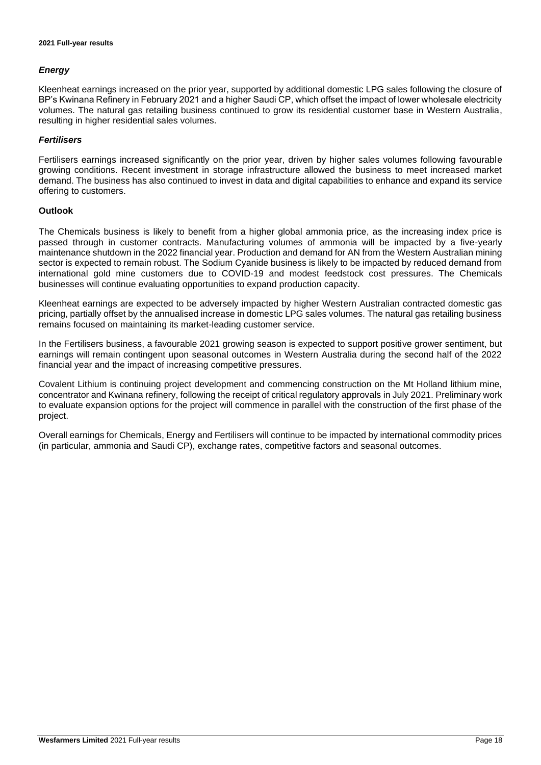#### *Energy*

Kleenheat earnings increased on the prior year, supported by additional domestic LPG sales following the closure of BP's Kwinana Refinery in February 2021 and a higher Saudi CP, which offset the impact of lower wholesale electricity volumes. The natural gas retailing business continued to grow its residential customer base in Western Australia, resulting in higher residential sales volumes.

#### *Fertilisers*

Fertilisers earnings increased significantly on the prior year, driven by higher sales volumes following favourable growing conditions. Recent investment in storage infrastructure allowed the business to meet increased market demand. The business has also continued to invest in data and digital capabilities to enhance and expand its service offering to customers.

#### **Outlook**

The Chemicals business is likely to benefit from a higher global ammonia price, as the increasing index price is passed through in customer contracts. Manufacturing volumes of ammonia will be impacted by a five-yearly maintenance shutdown in the 2022 financial year. Production and demand for AN from the Western Australian mining sector is expected to remain robust. The Sodium Cyanide business is likely to be impacted by reduced demand from international gold mine customers due to COVID-19 and modest feedstock cost pressures. The Chemicals businesses will continue evaluating opportunities to expand production capacity.

Kleenheat earnings are expected to be adversely impacted by higher Western Australian contracted domestic gas pricing, partially offset by the annualised increase in domestic LPG sales volumes. The natural gas retailing business remains focused on maintaining its market-leading customer service.

In the Fertilisers business, a favourable 2021 growing season is expected to support positive grower sentiment, but earnings will remain contingent upon seasonal outcomes in Western Australia during the second half of the 2022 financial year and the impact of increasing competitive pressures.

Covalent Lithium is continuing project development and commencing construction on the Mt Holland lithium mine, concentrator and Kwinana refinery, following the receipt of critical regulatory approvals in July 2021. Preliminary work to evaluate expansion options for the project will commence in parallel with the construction of the first phase of the project.

Overall earnings for Chemicals, Energy and Fertilisers will continue to be impacted by international commodity prices (in particular, ammonia and Saudi CP), exchange rates, competitive factors and seasonal outcomes.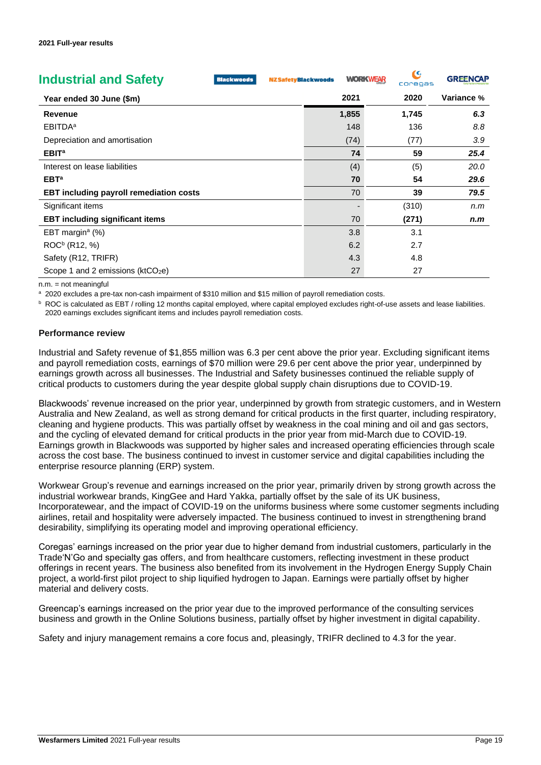| <b>Industrial and Safety</b><br><b>Blackwoods</b> | <b>NZ Safety Blackwoods</b> | <b>WORKWEAR</b> | Q<br>coregas | <b>GREENCAP</b> |
|---------------------------------------------------|-----------------------------|-----------------|--------------|-----------------|
| Year ended 30 June (\$m)                          |                             | 2021            | 2020         | Variance %      |
| <b>Revenue</b>                                    |                             | 1,855           | 1,745        | 6.3             |
| <b>EBITDA</b> <sup>a</sup>                        |                             | 148             | 136          | 8.8             |
| Depreciation and amortisation                     |                             | (74)            | (77)         | 3.9             |
| EBIT <sup>a</sup>                                 |                             | 74              | 59           | 25.4            |
| Interest on lease liabilities                     |                             | (4)             | (5)          | 20.0            |
| EBT <sup>a</sup>                                  |                             | 70              | 54           | 29.6            |
| <b>EBT including payroll remediation costs</b>    |                             | 70              | 39           | 79.5            |
| Significant items                                 |                             |                 | (310)        | n.m             |
| <b>EBT including significant items</b>            |                             | 70              | (271)        | n.m             |
| EBT margin <sup>a</sup> $(\%)$                    |                             | 3.8             | 3.1          |                 |
| ROC <sup>b</sup> (R12, %)                         |                             | 6.2             | 2.7          |                 |
| Safety (R12, TRIFR)                               |                             | 4.3             | 4.8          |                 |
| Scope 1 and 2 emissions ( $ktCO2e$ )              |                             | 27              | 27           |                 |

 $n.m. = not mean in a full$ 

a 2020 excludes a pre-tax non-cash impairment of \$310 million and \$15 million of payroll remediation costs.

**b** ROC is calculated as EBT / rolling 12 months capital employed, where capital employed excludes right-of-use assets and lease liabilities. 2020 earnings excludes significant items and includes payroll remediation costs.

#### **Performance review**

Industrial and Safety revenue of \$1,855 million was 6.3 per cent above the prior year. Excluding significant items and payroll remediation costs, earnings of \$70 million were 29.6 per cent above the prior year, underpinned by earnings growth across all businesses. The Industrial and Safety businesses continued the reliable supply of critical products to customers during the year despite global supply chain disruptions due to COVID-19.

Blackwoods' revenue increased on the prior year, underpinned by growth from strategic customers, and in Western Australia and New Zealand, as well as strong demand for critical products in the first quarter, including respiratory, cleaning and hygiene products. This was partially offset by weakness in the coal mining and oil and gas sectors, and the cycling of elevated demand for critical products in the prior year from mid-March due to COVID-19. Earnings growth in Blackwoods was supported by higher sales and increased operating efficiencies through scale across the cost base. The business continued to invest in customer service and digital capabilities including the enterprise resource planning (ERP) system.

Workwear Group's revenue and earnings increased on the prior year, primarily driven by strong growth across the industrial workwear brands, KingGee and Hard Yakka, partially offset by the sale of its UK business, Incorporatewear, and the impact of COVID-19 on the uniforms business where some customer segments including airlines, retail and hospitality were adversely impacted. The business continued to invest in strengthening brand desirability, simplifying its operating model and improving operational efficiency.

Coregas' earnings increased on the prior year due to higher demand from industrial customers, particularly in the Trade'N'Go and specialty gas offers, and from healthcare customers, reflecting investment in these product offerings in recent years. The business also benefited from its involvement in the Hydrogen Energy Supply Chain project, a world-first pilot project to ship liquified hydrogen to Japan. Earnings were partially offset by higher material and delivery costs.

Greencap's earnings increased on the prior year due to the improved performance of the consulting services business and growth in the Online Solutions business, partially offset by higher investment in digital capability.

Safety and injury management remains a core focus and, pleasingly, TRIFR declined to 4.3 for the year.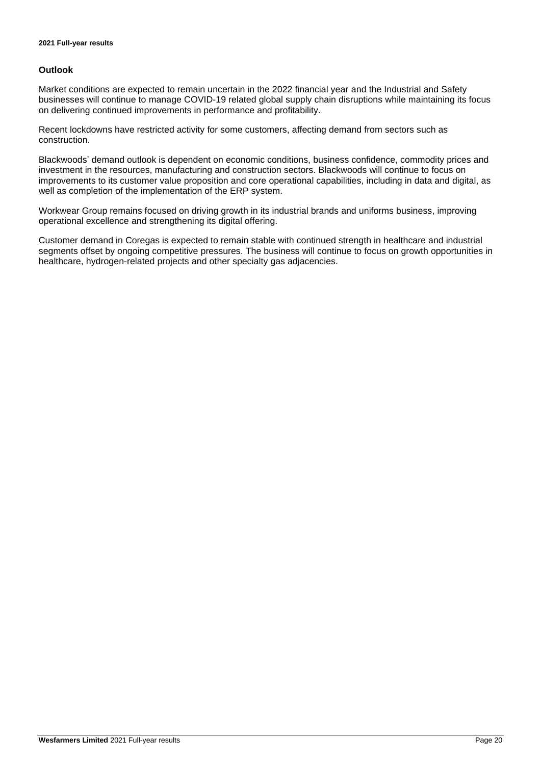#### **Outlook**

Market conditions are expected to remain uncertain in the 2022 financial year and the Industrial and Safety businesses will continue to manage COVID-19 related global supply chain disruptions while maintaining its focus on delivering continued improvements in performance and profitability.

Recent lockdowns have restricted activity for some customers, affecting demand from sectors such as construction.

Blackwoods' demand outlook is dependent on economic conditions, business confidence, commodity prices and investment in the resources, manufacturing and construction sectors. Blackwoods will continue to focus on improvements to its customer value proposition and core operational capabilities, including in data and digital, as well as completion of the implementation of the ERP system.

Workwear Group remains focused on driving growth in its industrial brands and uniforms business, improving operational excellence and strengthening its digital offering.

Customer demand in Coregas is expected to remain stable with continued strength in healthcare and industrial segments offset by ongoing competitive pressures. The business will continue to focus on growth opportunities in healthcare, hydrogen-related projects and other specialty gas adjacencies.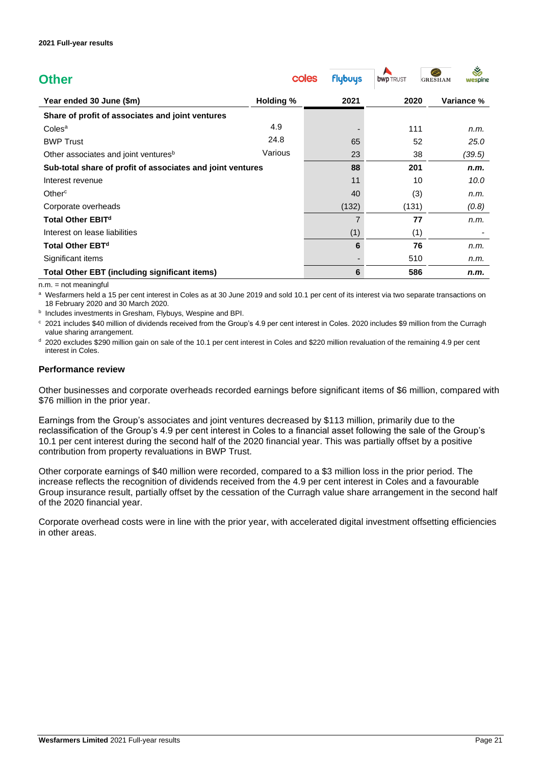| <b>Other</b>                                               | coles            | <b>flybuys</b> | <b>bwp</b> TRUST | Š<br><b>GRESHAM</b><br>wespine |
|------------------------------------------------------------|------------------|----------------|------------------|--------------------------------|
| Year ended 30 June (\$m)                                   | <b>Holding %</b> | 2021           | 2020             | Variance %                     |
| Share of profit of associates and joint ventures           |                  |                |                  |                                |
| Coles <sup>a</sup>                                         | 4.9              |                | 111              | n.m.                           |
| <b>BWP Trust</b>                                           | 24.8             | 65             | 52               | 25.0                           |
| Other associates and joint ventures <sup>b</sup>           | Various          | 23             | 38               | (39.5)                         |
| Sub-total share of profit of associates and joint ventures |                  | 88             | 201              | n.m.                           |
| Interest revenue                                           |                  | 11             | 10               | 10.0                           |
| Other $\rm ^c$                                             |                  | 40             | (3)              | n.m.                           |
| Corporate overheads                                        |                  | (132)          | (131)            | (0.8)                          |
| Total Other EBIT <sup>d</sup>                              |                  | 7              | 77               | n.m.                           |
| Interest on lease liabilities                              |                  | (1)            | (1)              |                                |
| <b>Total Other EBT<sup>d</sup></b>                         |                  | 6              | 76               | n.m.                           |
| Significant items                                          |                  |                | 510              | n.m.                           |
| <b>Total Other EBT (including significant items)</b>       |                  | 6              | 586              | n.m.                           |

 $n.m. = not meaningful$ 

a Wesfarmers held a 15 per cent interest in Coles as at 30 June 2019 and sold 10.1 per cent of its interest via two separate transactions on 18 February 2020 and 30 March 2020.

**b** Includes investments in Gresham, Flybuys, Wespine and BPI.

<sup>c</sup> 2021 includes \$40 million of dividends received from the Group's 4.9 per cent interest in Coles. 2020 includes \$9 million from the Curragh value sharing arrangement.

<sup>d</sup> 2020 excludes \$290 million gain on sale of the 10.1 per cent interest in Coles and \$220 million revaluation of the remaining 4.9 per cent interest in Coles.

#### **Performance review**

Other businesses and corporate overheads recorded earnings before significant items of \$6 million, compared with \$76 million in the prior year.

Earnings from the Group's associates and joint ventures decreased by \$113 million, primarily due to the reclassification of the Group's 4.9 per cent interest in Coles to a financial asset following the sale of the Group's 10.1 per cent interest during the second half of the 2020 financial year. This was partially offset by a positive contribution from property revaluations in BWP Trust.

Other corporate earnings of \$40 million were recorded, compared to a \$3 million loss in the prior period. The increase reflects the recognition of dividends received from the 4.9 per cent interest in Coles and a favourable Group insurance result, partially offset by the cessation of the Curragh value share arrangement in the second half of the 2020 financial year.

Corporate overhead costs were in line with the prior year, with accelerated digital investment offsetting efficiencies in other areas.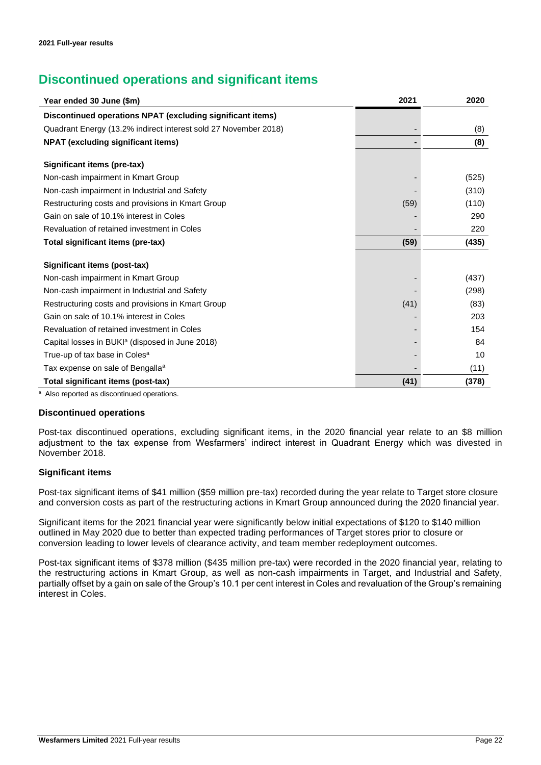### **Discontinued operations and significant items**

| Year ended 30 June (\$m)                                        | 2021 | 2020  |
|-----------------------------------------------------------------|------|-------|
| Discontinued operations NPAT (excluding significant items)      |      |       |
| Quadrant Energy (13.2% indirect interest sold 27 November 2018) |      | (8)   |
| <b>NPAT (excluding significant items)</b>                       |      | (8)   |
| Significant items (pre-tax)                                     |      |       |
| Non-cash impairment in Kmart Group                              |      | (525) |
| Non-cash impairment in Industrial and Safety                    |      | (310) |
| Restructuring costs and provisions in Kmart Group               | (59) | (110) |
| Gain on sale of 10.1% interest in Coles                         |      | 290   |
| Revaluation of retained investment in Coles                     |      | 220   |
| Total significant items (pre-tax)                               | (59) | (435) |
| Significant items (post-tax)                                    |      |       |
| Non-cash impairment in Kmart Group                              |      | (437) |
| Non-cash impairment in Industrial and Safety                    |      | (298) |
| Restructuring costs and provisions in Kmart Group               | (41) | (83)  |
| Gain on sale of 10.1% interest in Coles                         |      | 203   |
| Revaluation of retained investment in Coles                     |      | 154   |
| Capital losses in BUKI <sup>a</sup> (disposed in June 2018)     |      | 84    |
| True-up of tax base in Coles <sup>a</sup>                       |      | 10    |
| Tax expense on sale of Bengalla <sup>a</sup>                    |      | (11)  |
| <b>Total significant items (post-tax)</b>                       | (41) | (378) |

<sup>a</sup> Also reported as discontinued operations.

#### **Discontinued operations**

Post-tax discontinued operations, excluding significant items, in the 2020 financial year relate to an \$8 million adjustment to the tax expense from Wesfarmers' indirect interest in Quadrant Energy which was divested in November 2018.

#### **Significant items**

Post-tax significant items of \$41 million (\$59 million pre-tax) recorded during the year relate to Target store closure and conversion costs as part of the restructuring actions in Kmart Group announced during the 2020 financial year.

Significant items for the 2021 financial year were significantly below initial expectations of \$120 to \$140 million outlined in May 2020 due to better than expected trading performances of Target stores prior to closure or conversion leading to lower levels of clearance activity, and team member redeployment outcomes.

Post-tax significant items of \$378 million (\$435 million pre-tax) were recorded in the 2020 financial year, relating to the restructuring actions in Kmart Group, as well as non-cash impairments in Target, and Industrial and Safety, partially offset by a gain on sale of the Group's 10.1 per cent interest in Coles and revaluation of the Group's remaining interest in Coles.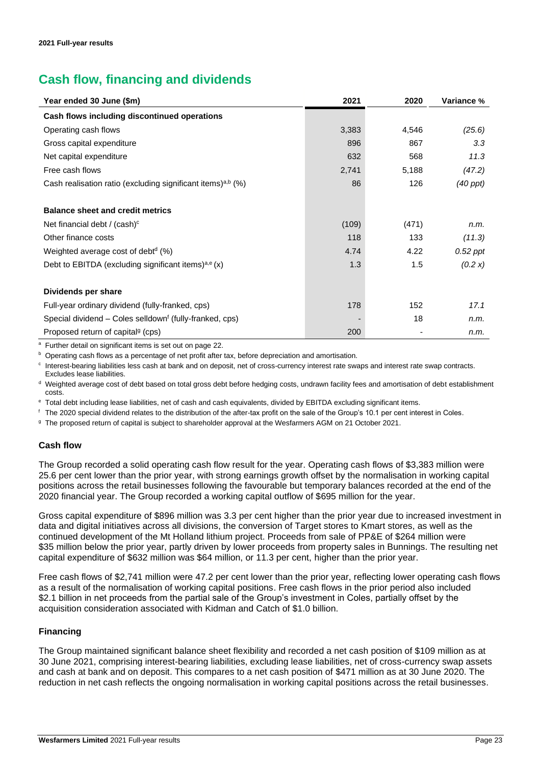## **Cash flow, financing and dividends**

| Year ended 30 June (\$m)                                                | 2021  | 2020  | Variance %    |
|-------------------------------------------------------------------------|-------|-------|---------------|
| Cash flows including discontinued operations                            |       |       |               |
| Operating cash flows                                                    | 3,383 | 4,546 | (25.6)        |
| Gross capital expenditure                                               | 896   | 867   | 3.3           |
| Net capital expenditure                                                 | 632   | 568   | 11.3          |
| Free cash flows                                                         | 2,741 | 5,188 | (47.2)        |
| Cash realisation ratio (excluding significant items) <sup>a,b</sup> (%) | 86    | 126   | $(40$ ppt $)$ |
| <b>Balance sheet and credit metrics</b>                                 |       |       |               |
| Net financial debt / $(cash)c$                                          | (109) | (471) | n.m.          |
| Other finance costs                                                     | 118   | 133   | (11.3)        |
| Weighted average cost of debt <sup>d</sup> (%)                          | 4.74  | 4.22  | $0.52$ ppt    |
| Debt to EBITDA (excluding significant items) <sup>a,e</sup> (x)         | 1.3   | 1.5   | (0.2 x)       |
| Dividends per share                                                     |       |       |               |
| Full-year ordinary dividend (fully-franked, cps)                        | 178   | 152   | 17.1          |
| Special dividend – Coles selldown <sup>f</sup> (fully-franked, cps)     |       | 18    | n.m.          |
| Proposed return of capital <sup>9</sup> (cps)                           | 200   |       | n.m.          |

<sup>a</sup> Further detail on significant items is set out on page 22.

**b** Operating cash flows as a percentage of net profit after tax, before depreciation and amortisation.

c Interest-bearing liabilities less cash at bank and on deposit, net of cross-currency interest rate swaps and interest rate swap contracts. Excludes lease liabilities.

<sup>d</sup> Weighted average cost of debt based on total gross debt before hedging costs, undrawn facility fees and amortisation of debt establishment costs.

<sup>e</sup> Total debt including lease liabilities, net of cash and cash equivalents, divided by EBITDA excluding significant items.

<sup>f</sup> The 2020 special dividend relates to the distribution of the after-tax profit on the sale of the Group's 10.1 per cent interest in Coles.

<sup>g</sup> The proposed return of capital is subject to shareholder approval at the Wesfarmers AGM on 21 October 2021.

#### **Cash flow**

The Group recorded a solid operating cash flow result for the year. Operating cash flows of \$3,383 million were 25.6 per cent lower than the prior year, with strong earnings growth offset by the normalisation in working capital positions across the retail businesses following the favourable but temporary balances recorded at the end of the 2020 financial year. The Group recorded a working capital outflow of \$695 million for the year.

Gross capital expenditure of \$896 million was 3.3 per cent higher than the prior year due to increased investment in data and digital initiatives across all divisions, the conversion of Target stores to Kmart stores, as well as the continued development of the Mt Holland lithium project. Proceeds from sale of PP&E of \$264 million were \$35 million below the prior year, partly driven by lower proceeds from property sales in Bunnings. The resulting net capital expenditure of \$632 million was \$64 million, or 11.3 per cent, higher than the prior year.

Free cash flows of \$2,741 million were 47.2 per cent lower than the prior year, reflecting lower operating cash flows as a result of the normalisation of working capital positions. Free cash flows in the prior period also included \$2.1 billion in net proceeds from the partial sale of the Group's investment in Coles, partially offset by the acquisition consideration associated with Kidman and Catch of \$1.0 billion.

#### **Financing**

The Group maintained significant balance sheet flexibility and recorded a net cash position of \$109 million as at 30 June 2021, comprising interest-bearing liabilities, excluding lease liabilities, net of cross-currency swap assets and cash at bank and on deposit. This compares to a net cash position of \$471 million as at 30 June 2020. The reduction in net cash reflects the ongoing normalisation in working capital positions across the retail businesses.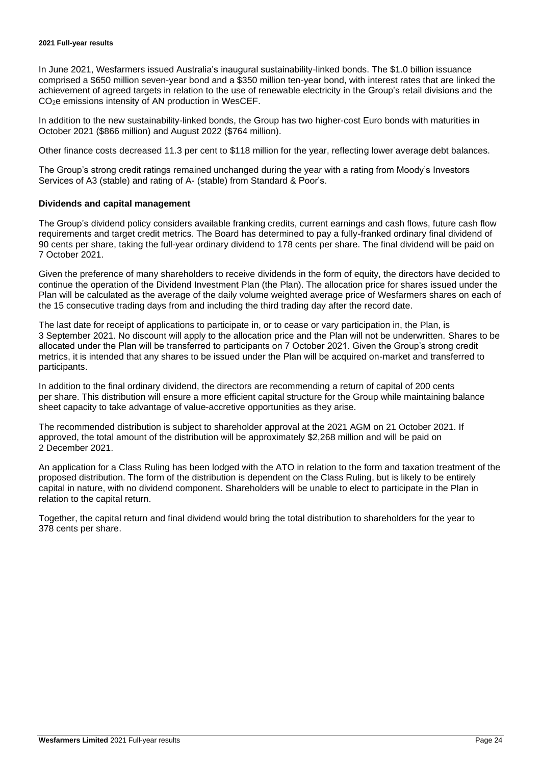In June 2021, Wesfarmers issued Australia's inaugural sustainability-linked bonds. The \$1.0 billion issuance comprised a \$650 million seven-year bond and a \$350 million ten-year bond, with interest rates that are linked the achievement of agreed targets in relation to the use of renewable electricity in the Group's retail divisions and the CO2e emissions intensity of AN production in WesCEF.

In addition to the new sustainability-linked bonds, the Group has two higher-cost Euro bonds with maturities in October 2021 (\$866 million) and August 2022 (\$764 million).

Other finance costs decreased 11.3 per cent to \$118 million for the year, reflecting lower average debt balances.

The Group's strong credit ratings remained unchanged during the year with a rating from Moody's Investors Services of A3 (stable) and rating of A- (stable) from Standard & Poor's.

#### **Dividends and capital management**

The Group's dividend policy considers available franking credits, current earnings and cash flows, future cash flow requirements and target credit metrics. The Board has determined to pay a fully-franked ordinary final dividend of 90 cents per share, taking the full-year ordinary dividend to 178 cents per share. The final dividend will be paid on 7 October 2021.

Given the preference of many shareholders to receive dividends in the form of equity, the directors have decided to continue the operation of the Dividend Investment Plan (the Plan). The allocation price for shares issued under the Plan will be calculated as the average of the daily volume weighted average price of Wesfarmers shares on each of the 15 consecutive trading days from and including the third trading day after the record date.

The last date for receipt of applications to participate in, or to cease or vary participation in, the Plan, is 3 September 2021. No discount will apply to the allocation price and the Plan will not be underwritten. Shares to be allocated under the Plan will be transferred to participants on 7 October 2021. Given the Group's strong credit metrics, it is intended that any shares to be issued under the Plan will be acquired on-market and transferred to participants.

In addition to the final ordinary dividend, the directors are recommending a return of capital of 200 cents per share. This distribution will ensure a more efficient capital structure for the Group while maintaining balance sheet capacity to take advantage of value-accretive opportunities as they arise.

The recommended distribution is subject to shareholder approval at the 2021 AGM on 21 October 2021. If approved, the total amount of the distribution will be approximately \$2,268 million and will be paid on 2 December 2021.

An application for a Class Ruling has been lodged with the ATO in relation to the form and taxation treatment of the proposed distribution. The form of the distribution is dependent on the Class Ruling, but is likely to be entirely capital in nature, with no dividend component. Shareholders will be unable to elect to participate in the Plan in relation to the capital return.

Together, the capital return and final dividend would bring the total distribution to shareholders for the year to 378 cents per share.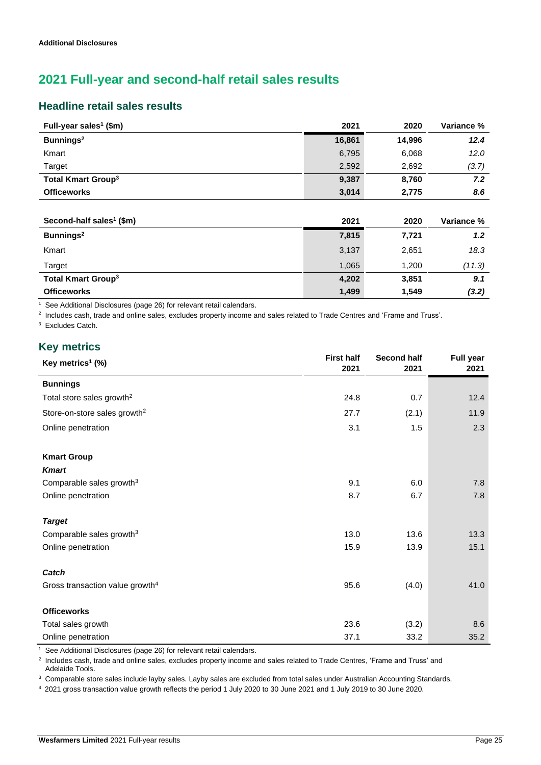### **2021 Full-year and second-half retail sales results**

### **Headline retail sales results**

| Full-year sales <sup>1</sup> (\$m)   | 2021   | 2020   | Variance %       |
|--------------------------------------|--------|--------|------------------|
| Bunnings <sup>2</sup>                | 16,861 | 14,996 | 12.4             |
| Kmart                                | 6,795  | 6,068  | 12.0             |
| Target                               | 2,592  | 2,692  | (3.7)            |
| <b>Total Kmart Group<sup>3</sup></b> | 9,387  | 8,760  | 7.2              |
| <b>Officeworks</b>                   | 3,014  | 2,775  | 8.6              |
|                                      |        |        |                  |
| Second-half sales <sup>1</sup> (\$m) | 2021   | 2020   | Variance %       |
| Bunnings <sup>2</sup>                | 7,815  | 7,721  | 1.2 <sub>2</sub> |
| Kmart                                | 3,137  | 2,651  | 18.3             |
| Target                               | 1,065  | 1,200  | (11.3)           |
| <b>Total Kmart Group<sup>3</sup></b> | 4,202  | 3,851  | 9.1              |
| <b>Officeworks</b>                   | 1,499  | 1,549  | (3.2)            |

 $\frac{1}{1}$  See Additional Disclosures (page 26) for relevant retail calendars.

2 Includes cash, trade and online sales, excludes property income and sales related to Trade Centres and 'Frame and Truss'.

<sup>3</sup> Excludes Catch.

### **Key metrics**

l,

| Key metrics <sup>1</sup> (%)                | <b>First half</b><br>2021 | <b>Second half</b><br>2021 | <b>Full year</b><br>2021 |
|---------------------------------------------|---------------------------|----------------------------|--------------------------|
| <b>Bunnings</b>                             |                           |                            |                          |
| Total store sales growth <sup>2</sup>       | 24.8                      | 0.7                        | 12.4                     |
| Store-on-store sales growth <sup>2</sup>    | 27.7                      | (2.1)                      | 11.9                     |
| Online penetration                          | 3.1                       | 1.5                        | 2.3                      |
| <b>Kmart Group</b>                          |                           |                            |                          |
| <b>Kmart</b>                                |                           |                            |                          |
| Comparable sales growth <sup>3</sup>        | 9.1                       | 6.0                        | 7.8                      |
| Online penetration                          | 8.7                       | 6.7                        | 7.8                      |
| <b>Target</b>                               |                           |                            |                          |
| Comparable sales growth <sup>3</sup>        | 13.0                      | 13.6                       | 13.3                     |
| Online penetration                          | 15.9                      | 13.9                       | 15.1                     |
| Catch                                       |                           |                            |                          |
| Gross transaction value growth <sup>4</sup> | 95.6                      | (4.0)                      | 41.0                     |
| <b>Officeworks</b>                          |                           |                            |                          |
| Total sales growth                          | 23.6                      | (3.2)                      | 8.6                      |
| Online penetration                          | 37.1                      | 33.2                       | 35.2                     |

1 See Additional Disclosures (page 26) for relevant retail calendars.

<sup>2</sup> Includes cash, trade and online sales, excludes property income and sales related to Trade Centres, 'Frame and Truss' and Adelaide Tools.

<sup>3</sup> Comparable store sales include layby sales. Layby sales are excluded from total sales under Australian Accounting Standards.

<sup>4</sup> 2021 gross transaction value growth reflects the period 1 July 2020 to 30 June 2021 and 1 July 2019 to 30 June 2020.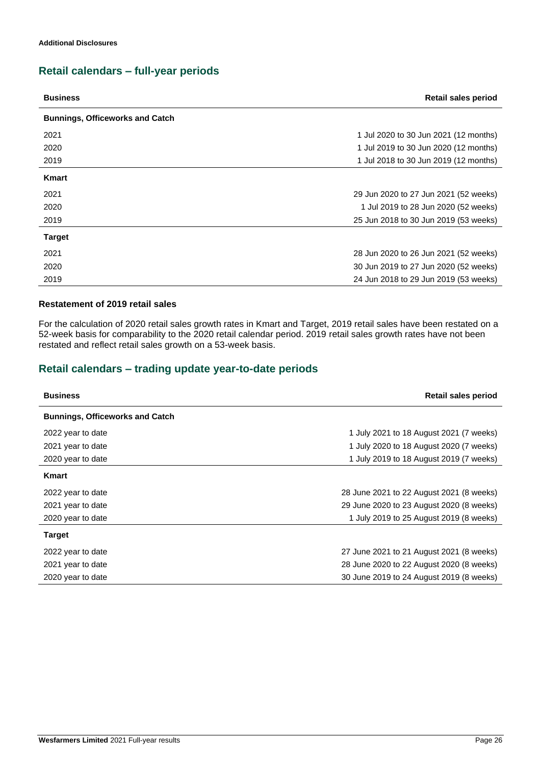### **Retail calendars – full-year periods**

| <b>Business</b>                        | <b>Retail sales period</b>            |
|----------------------------------------|---------------------------------------|
| <b>Bunnings, Officeworks and Catch</b> |                                       |
| 2021                                   | 1 Jul 2020 to 30 Jun 2021 (12 months) |
| 2020                                   | 1 Jul 2019 to 30 Jun 2020 (12 months) |
| 2019                                   | 1 Jul 2018 to 30 Jun 2019 (12 months) |
| <b>Kmart</b>                           |                                       |
| 2021                                   | 29 Jun 2020 to 27 Jun 2021 (52 weeks) |
| 2020                                   | 1 Jul 2019 to 28 Jun 2020 (52 weeks)  |
| 2019                                   | 25 Jun 2018 to 30 Jun 2019 (53 weeks) |
| <b>Target</b>                          |                                       |
| 2021                                   | 28 Jun 2020 to 26 Jun 2021 (52 weeks) |
| 2020                                   | 30 Jun 2019 to 27 Jun 2020 (52 weeks) |
| 2019                                   | 24 Jun 2018 to 29 Jun 2019 (53 weeks) |

#### **Restatement of 2019 retail sales**

For the calculation of 2020 retail sales growth rates in Kmart and Target, 2019 retail sales have been restated on a 52-week basis for comparability to the 2020 retail calendar period. 2019 retail sales growth rates have not been restated and reflect retail sales growth on a 53-week basis.

### **Retail calendars – trading update year-to-date periods**

| <b>Business</b>                        | Retail sales period                      |
|----------------------------------------|------------------------------------------|
| <b>Bunnings, Officeworks and Catch</b> |                                          |
| 2022 year to date                      | 1 July 2021 to 18 August 2021 (7 weeks)  |
| 2021 year to date                      | 1 July 2020 to 18 August 2020 (7 weeks)  |
| 2020 year to date                      | 1 July 2019 to 18 August 2019 (7 weeks)  |
| Kmart                                  |                                          |
| 2022 year to date                      | 28 June 2021 to 22 August 2021 (8 weeks) |
| 2021 year to date                      | 29 June 2020 to 23 August 2020 (8 weeks) |
| 2020 year to date                      | 1 July 2019 to 25 August 2019 (8 weeks)  |
| <b>Target</b>                          |                                          |
| 2022 year to date                      | 27 June 2021 to 21 August 2021 (8 weeks) |
| 2021 year to date                      | 28 June 2020 to 22 August 2020 (8 weeks) |
| 2020 year to date                      | 30 June 2019 to 24 August 2019 (8 weeks) |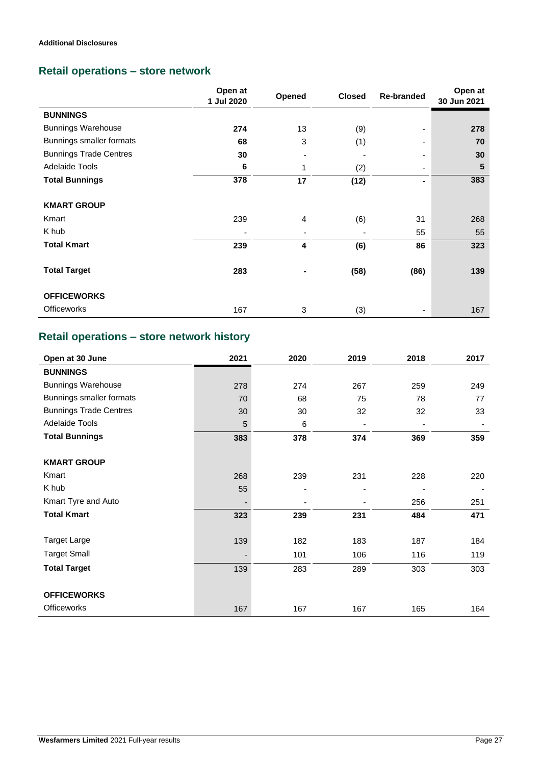### **Retail operations – store network**

|                               | Open at<br>1 Jul 2020 | Opened | <b>Closed</b> | <b>Re-branded</b> | Open at<br>30 Jun 2021 |
|-------------------------------|-----------------------|--------|---------------|-------------------|------------------------|
| <b>BUNNINGS</b>               |                       |        |               |                   |                        |
| <b>Bunnings Warehouse</b>     | 274                   | 13     | (9)           |                   | 278                    |
| Bunnings smaller formats      | 68                    | 3      | (1)           | ۰.                | 70                     |
| <b>Bunnings Trade Centres</b> | 30                    | ٠      | ٠             | ۰.                | 30                     |
| Adelaide Tools                | 6                     | 1      | (2)           | ۰.                | 5                      |
| <b>Total Bunnings</b>         | 378                   | 17     | (12)          | Ξ.                | 383                    |
| <b>KMART GROUP</b>            |                       |        |               |                   |                        |
| Kmart                         | 239                   | 4      | (6)           | 31                | 268                    |
| K hub                         | ٠                     | ٠      |               | 55                | 55                     |
| <b>Total Kmart</b>            | 239                   | 4      | (6)           | 86                | 323                    |
| <b>Total Target</b>           | 283                   |        | (58)          | (86)              | 139                    |
| <b>OFFICEWORKS</b>            |                       |        |               |                   |                        |
| <b>Officeworks</b>            | 167                   | 3      | (3)           |                   | 167                    |

### **Retail operations – store network history**

| Open at 30 June               | 2021 | 2020 | 2019 | 2018 | 2017 |
|-------------------------------|------|------|------|------|------|
| <b>BUNNINGS</b>               |      |      |      |      |      |
| <b>Bunnings Warehouse</b>     | 278  | 274  | 267  | 259  | 249  |
| Bunnings smaller formats      | 70   | 68   | 75   | 78   | 77   |
| <b>Bunnings Trade Centres</b> | 30   | 30   | 32   | 32   | 33   |
| Adelaide Tools                | 5    | 6    | ٠    |      |      |
| <b>Total Bunnings</b>         | 383  | 378  | 374  | 369  | 359  |
|                               |      |      |      |      |      |
| <b>KMART GROUP</b>            |      |      |      |      |      |
| Kmart                         | 268  | 239  | 231  | 228  | 220  |
| K hub                         | 55   |      |      |      |      |
| Kmart Tyre and Auto           | -    |      |      | 256  | 251  |
| <b>Total Kmart</b>            | 323  | 239  | 231  | 484  | 471  |
|                               |      |      |      |      |      |
| <b>Target Large</b>           | 139  | 182  | 183  | 187  | 184  |
| <b>Target Small</b>           | -    | 101  | 106  | 116  | 119  |
| <b>Total Target</b>           | 139  | 283  | 289  | 303  | 303  |
|                               |      |      |      |      |      |
| <b>OFFICEWORKS</b>            |      |      |      |      |      |
| <b>Officeworks</b>            | 167  | 167  | 167  | 165  | 164  |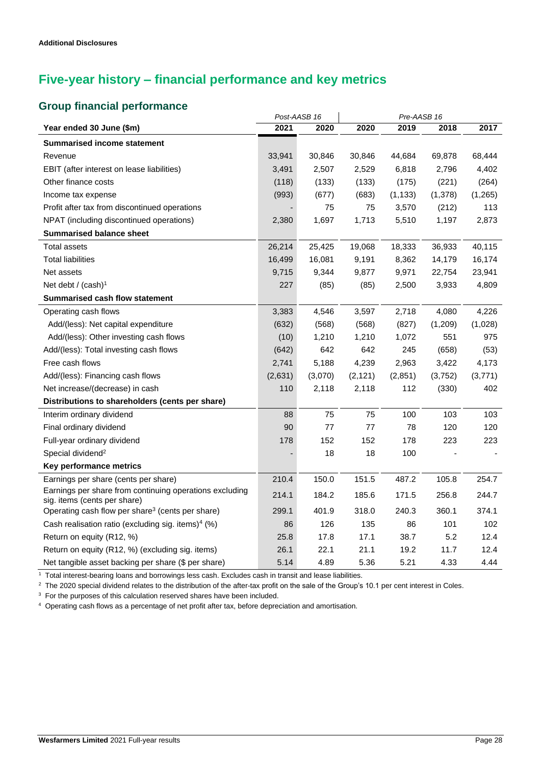## **Five-year history – financial performance and key metrics**

### **Group financial performance**

|                                                                                         |         | Post-AASB 16 |          | Pre-AASB 16 |          |         |
|-----------------------------------------------------------------------------------------|---------|--------------|----------|-------------|----------|---------|
| Year ended 30 June (\$m)                                                                | 2021    | 2020         | 2020     | 2019        | 2018     | 2017    |
| <b>Summarised income statement</b>                                                      |         |              |          |             |          |         |
| Revenue                                                                                 | 33,941  | 30,846       | 30,846   | 44,684      | 69,878   | 68,444  |
| EBIT (after interest on lease liabilities)                                              | 3,491   | 2,507        | 2,529    | 6,818       | 2,796    | 4,402   |
| Other finance costs                                                                     | (118)   | (133)        | (133)    | (175)       | (221)    | (264)   |
| Income tax expense                                                                      | (993)   | (677)        | (683)    | (1, 133)    | (1, 378) | (1,265) |
| Profit after tax from discontinued operations                                           |         | 75           | 75       | 3,570       | (212)    | 113     |
| NPAT (including discontinued operations)                                                | 2,380   | 1,697        | 1,713    | 5,510       | 1,197    | 2,873   |
| <b>Summarised balance sheet</b>                                                         |         |              |          |             |          |         |
| Total assets                                                                            | 26,214  | 25,425       | 19,068   | 18,333      | 36,933   | 40,115  |
| <b>Total liabilities</b>                                                                | 16,499  | 16,081       | 9,191    | 8,362       | 14,179   | 16,174  |
| Net assets                                                                              | 9,715   | 9,344        | 9,877    | 9,971       | 22,754   | 23,941  |
| Net debt / (cash) <sup>1</sup>                                                          | 227     | (85)         | (85)     | 2,500       | 3,933    | 4,809   |
| <b>Summarised cash flow statement</b>                                                   |         |              |          |             |          |         |
| Operating cash flows                                                                    | 3,383   | 4,546        | 3,597    | 2,718       | 4,080    | 4,226   |
| Add/(less): Net capital expenditure                                                     | (632)   | (568)        | (568)    | (827)       | (1,209)  | (1,028) |
| Add/(less): Other investing cash flows                                                  | (10)    | 1,210        | 1,210    | 1,072       | 551      | 975     |
| Add/(less): Total investing cash flows                                                  | (642)   | 642          | 642      | 245         | (658)    | (53)    |
| Free cash flows                                                                         | 2,741   | 5,188        | 4,239    | 2,963       | 3,422    | 4,173   |
| Add/(less): Financing cash flows                                                        | (2,631) | (3,070)      | (2, 121) | (2,851)     | (3,752)  | (3,771) |
| Net increase/(decrease) in cash                                                         | 110     | 2,118        | 2,118    | 112         | (330)    | 402     |
| Distributions to shareholders (cents per share)                                         |         |              |          |             |          |         |
| Interim ordinary dividend                                                               | 88      | 75           | 75       | 100         | 103      | 103     |
| Final ordinary dividend                                                                 | 90      | 77           | 77       | 78          | 120      | 120     |
| Full-year ordinary dividend                                                             | 178     | 152          | 152      | 178         | 223      | 223     |
| Special dividend <sup>2</sup>                                                           |         | 18           | 18       | 100         |          |         |
| Key performance metrics                                                                 |         |              |          |             |          |         |
| Earnings per share (cents per share)                                                    | 210.4   | 150.0        | 151.5    | 487.2       | 105.8    | 254.7   |
| Earnings per share from continuing operations excluding<br>sig. items (cents per share) | 214.1   | 184.2        | 185.6    | 171.5       | 256.8    | 244.7   |
| Operating cash flow per share <sup>3</sup> (cents per share)                            | 299.1   | 401.9        | 318.0    | 240.3       | 360.1    | 374.1   |
| Cash realisation ratio (excluding sig. items) <sup>4</sup> (%)                          | 86      | 126          | 135      | 86          | 101      | 102     |
| Return on equity (R12, %)                                                               | 25.8    | 17.8         | 17.1     | 38.7        | 5.2      | 12.4    |
| Return on equity (R12, %) (excluding sig. items)                                        | 26.1    | 22.1         | 21.1     | 19.2        | 11.7     | 12.4    |
| Net tangible asset backing per share (\$ per share)                                     | 5.14    | 4.89         | 5.36     | 5.21        | 4.33     | 4.44    |

 $\mathcal{L}$ 

1 Total interest-bearing loans and borrowings less cash. Excludes cash in transit and lease liabilities.

<sup>2</sup> The 2020 special dividend relates to the distribution of the after-tax profit on the sale of the Group's 10.1 per cent interest in Coles.

<sup>3</sup> For the purposes of this calculation reserved shares have been included.

<sup>4</sup> Operating cash flows as a percentage of net profit after tax, before depreciation and amortisation.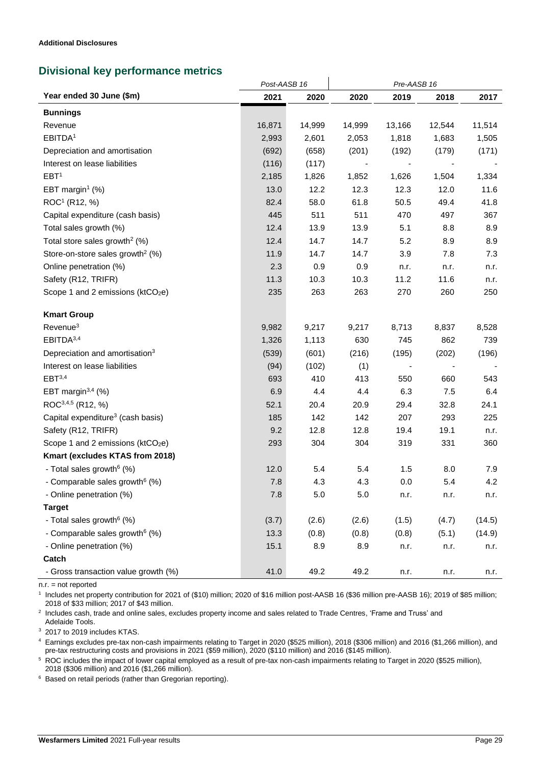l,

### **Divisional key performance metrics**

|                                               | Post-AASB 16 |         | Pre-AASB 16 |        |        |        |
|-----------------------------------------------|--------------|---------|-------------|--------|--------|--------|
| Year ended 30 June (\$m)                      | 2021         | 2020    | 2020        | 2019   | 2018   | 2017   |
| <b>Bunnings</b>                               |              |         |             |        |        |        |
| Revenue                                       | 16,871       | 14,999  | 14,999      | 13,166 | 12,544 | 11,514 |
| EBITDA <sup>1</sup>                           | 2,993        | 2,601   | 2,053       | 1,818  | 1,683  | 1,505  |
| Depreciation and amortisation                 | (692)        | (658)   | (201)       | (192)  | (179)  | (171)  |
| Interest on lease liabilities                 | (116)        | (117)   |             |        |        |        |
| EBT <sup>1</sup>                              | 2,185        | 1,826   | 1,852       | 1,626  | 1,504  | 1,334  |
| EBT margin <sup>1</sup> $(\%)$                | 13.0         | 12.2    | 12.3        | 12.3   | 12.0   | 11.6   |
| ROC <sup>1</sup> (R12, %)                     | 82.4         | 58.0    | 61.8        | 50.5   | 49.4   | 41.8   |
| Capital expenditure (cash basis)              | 445          | 511     | 511         | 470    | 497    | 367    |
| Total sales growth (%)                        | 12.4         | 13.9    | 13.9        | 5.1    | 8.8    | 8.9    |
| Total store sales growth <sup>2</sup> (%)     | 12.4         | 14.7    | 14.7        | 5.2    | 8.9    | 8.9    |
| Store-on-store sales growth <sup>2</sup> (%)  | 11.9         | 14.7    | 14.7        | 3.9    | 7.8    | 7.3    |
| Online penetration (%)                        | 2.3          | 0.9     | 0.9         | n.r.   | n.r.   | n.r.   |
| Safety (R12, TRIFR)                           | 11.3         | 10.3    | 10.3        | 11.2   | 11.6   | n.r.   |
| Scope 1 and 2 emissions (ktCO2e)              | 235          | 263     | 263         | 270    | 260    | 250    |
| <b>Kmart Group</b>                            |              |         |             |        |        |        |
| Revenue <sup>3</sup>                          | 9,982        | 9,217   | 9,217       | 8,713  | 8,837  | 8,528  |
| EBITDA <sup>3,4</sup>                         | 1,326        | 1,113   | 630         | 745    | 862    | 739    |
| Depreciation and amortisation <sup>3</sup>    | (539)        | (601)   | (216)       | (195)  | (202)  | (196)  |
| Interest on lease liabilities                 | (94)         | (102)   | (1)         |        |        |        |
| EBT <sup>3,4</sup>                            | 693          | 410     | 413         | 550    | 660    | 543    |
| EBT margin $3,4$ (%)                          | 6.9          | 4.4     | 4.4         | 6.3    | 7.5    | 6.4    |
| ROC <sup>3,4,5</sup> (R12, %)                 | 52.1         | 20.4    | 20.9        | 29.4   | 32.8   | 24.1   |
| Capital expenditure <sup>3</sup> (cash basis) | 185          | 142     | 142         | 207    | 293    | 225    |
| Safety (R12, TRIFR)                           | 9.2          | 12.8    | 12.8        | 19.4   | 19.1   | n.r.   |
| Scope 1 and 2 emissions (ktCO2e)              | 293          | 304     | 304         | 319    | 331    | 360    |
| Kmart (excludes KTAS from 2018)               |              |         |             |        |        |        |
| - Total sales growth <sup>6</sup> (%)         | 12.0         | 5.4     | 5.4         | 1.5    | 8.0    | 7.9    |
| - Comparable sales growth <sup>6</sup> (%)    | 7.8          | 4.3     | 4.3         | 0.0    | 5.4    | 4.2    |
| - Online penetration (%)                      | 7.8          | $5.0\,$ | 5.0         | n.r.   | n.r.   | n.r.   |
| <b>Target</b>                                 |              |         |             |        |        |        |
| - Total sales growth <sup>6</sup> (%)         | (3.7)        | (2.6)   | (2.6)       | (1.5)  | (4.7)  | (14.5) |
| - Comparable sales growth <sup>6</sup> (%)    | 13.3         | (0.8)   | (0.8)       | (0.8)  | (5.1)  | (14.9) |
| - Online penetration (%)                      | 15.1         | 8.9     | 8.9         | n.r.   | n.r.   | n.r.   |
| Catch                                         |              |         |             |        |        |        |
| - Gross transaction value growth (%)          | 41.0         | 49.2    | 49.2        | n.r.   | n.r.   | n.r.   |

 $\mathbf{i}$ 

n.r. = not reported

<sup>1</sup> Includes net property contribution for 2021 of (\$10) million; 2020 of \$16 million post-AASB 16 (\$36 million pre-AASB 16); 2019 of \$85 million; 2018 of \$33 million; 2017 of \$43 million.

<sup>2</sup> Includes cash, trade and online sales, excludes property income and sales related to Trade Centres, 'Frame and Truss' and Adelaide Tools.

<sup>3</sup> 2017 to 2019 includes KTAS.

<sup>4</sup> Earnings excludes pre-tax non-cash impairments relating to Target in 2020 (\$525 million), 2018 (\$306 million) and 2016 (\$1,266 million), and pre-tax restructuring costs and provisions in 2021 (\$59 million), 2020 (\$110 million) and 2016 (\$145 million).

<sup>5</sup> ROC includes the impact of lower capital employed as a result of pre-tax non-cash impairments relating to Target in 2020 (\$525 million), 2018 (\$306 million) and 2016 (\$1,266 million).

<sup>6</sup> Based on retail periods (rather than Gregorian reporting).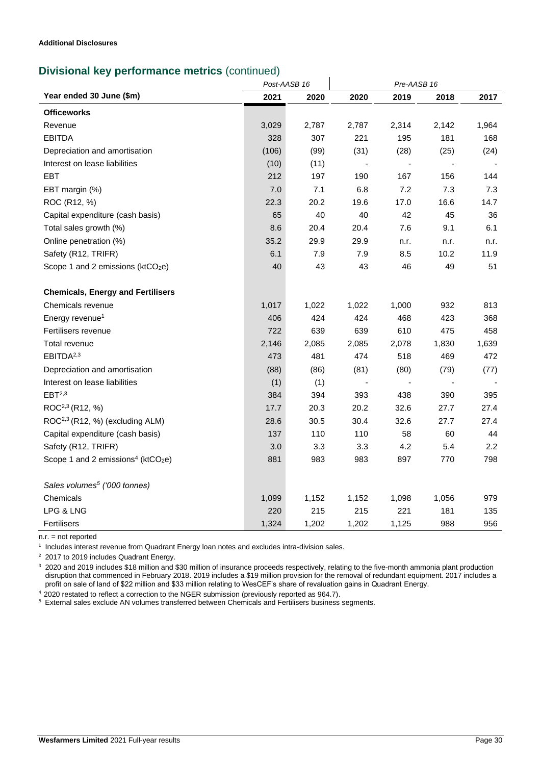### **Divisional key performance metrics** (continued)

|                                                            |       | Post-AASB 16 |                          | Pre-AASB 16 |       |                  |  |
|------------------------------------------------------------|-------|--------------|--------------------------|-------------|-------|------------------|--|
| Year ended 30 June (\$m)                                   | 2021  | 2020         | 2020                     | 2019        | 2018  | 2017             |  |
| <b>Officeworks</b>                                         |       |              |                          |             |       |                  |  |
| Revenue                                                    | 3,029 | 2,787        | 2,787                    | 2,314       | 2,142 | 1,964            |  |
| <b>EBITDA</b>                                              | 328   | 307          | 221                      | 195         | 181   | 168              |  |
| Depreciation and amortisation                              | (106) | (99)         | (31)                     | (28)        | (25)  | (24)             |  |
| Interest on lease liabilities                              | (10)  | (11)         |                          |             |       |                  |  |
| EBT                                                        | 212   | 197          | 190                      | 167         | 156   | 144              |  |
| EBT margin (%)                                             | 7.0   | 7.1          | 6.8                      | 7.2         | 7.3   | 7.3              |  |
| ROC (R12, %)                                               | 22.3  | 20.2         | 19.6                     | 17.0        | 16.6  | 14.7             |  |
| Capital expenditure (cash basis)                           | 65    | 40           | 40                       | 42          | 45    | 36               |  |
| Total sales growth (%)                                     | 8.6   | 20.4         | 20.4                     | 7.6         | 9.1   | 6.1              |  |
| Online penetration (%)                                     | 35.2  | 29.9         | 29.9                     | n.r.        | n.r.  | n.r.             |  |
| Safety (R12, TRIFR)                                        | 6.1   | 7.9          | 7.9                      | 8.5         | 10.2  | 11.9             |  |
| Scope 1 and 2 emissions (ktCO <sub>2</sub> e)              | 40    | 43           | 43                       | 46          | 49    | 51               |  |
| <b>Chemicals, Energy and Fertilisers</b>                   |       |              |                          |             |       |                  |  |
| Chemicals revenue                                          | 1,017 | 1,022        | 1,022                    | 1,000       | 932   | 813              |  |
| Energy revenue <sup>1</sup>                                | 406   | 424          | 424                      | 468         | 423   | 368              |  |
| Fertilisers revenue                                        | 722   | 639          | 639                      | 610         | 475   | 458              |  |
| Total revenue                                              | 2,146 | 2,085        | 2,085                    | 2,078       | 1,830 | 1,639            |  |
| EBITDA <sup>2,3</sup>                                      | 473   | 481          | 474                      | 518         | 469   | 472              |  |
| Depreciation and amortisation                              | (88)  | (86)         | (81)                     | (80)        | (79)  | (77)             |  |
| Interest on lease liabilities                              | (1)   | (1)          | $\overline{\phantom{a}}$ |             | ÷,    |                  |  |
| EBT <sup>2,3</sup>                                         | 384   | 394          | 393                      | 438         | 390   | 395              |  |
| ROC <sup>2,3</sup> (R12, %)                                | 17.7  | 20.3         | 20.2                     | 32.6        | 27.7  | 27.4             |  |
| ROC <sup>2,3</sup> (R12, %) (excluding ALM)                | 28.6  | 30.5         | 30.4                     | 32.6        | 27.7  | 27.4             |  |
| Capital expenditure (cash basis)                           | 137   | 110          | 110                      | 58          | 60    | 44               |  |
| Safety (R12, TRIFR)                                        | 3.0   | 3.3          | 3.3                      | 4.2         | 5.4   | $2.2\phantom{0}$ |  |
| Scope 1 and 2 emissions <sup>4</sup> (ktCO <sub>2</sub> e) | 881   | 983          | 983                      | 897         | 770   | 798              |  |
| Sales volumes <sup>5</sup> ('000 tonnes)                   |       |              |                          |             |       |                  |  |
| Chemicals                                                  | 1,099 | 1,152        | 1,152                    | 1,098       | 1,056 | 979              |  |
| LPG & LNG                                                  | 220   | 215          | 215                      | 221         | 181   | 135              |  |
| Fertilisers                                                | 1,324 | 1,202        | 1,202                    | 1,125       | 988   | 956              |  |

n.r. = not reported

1 Includes interest revenue from Quadrant Energy loan notes and excludes intra-division sales.

<sup>2</sup> 2017 to 2019 includes Quadrant Energy.

<sup>3</sup> 2020 and 2019 includes \$18 million and \$30 million of insurance proceeds respectively, relating to the five-month ammonia plant production disruption that commenced in February 2018. 2019 includes a \$19 million provision for the removal of redundant equipment. 2017 includes a profit on sale of land of \$22 million and \$33 million relating to WesCEF's share of revaluation gains in Quadrant Energy.

 $42020$  restated to reflect a correction to the NGER submission (previously reported as 964.7).

 $5$  External sales exclude AN volumes transferred between Chemicals and Fertilisers business segments.